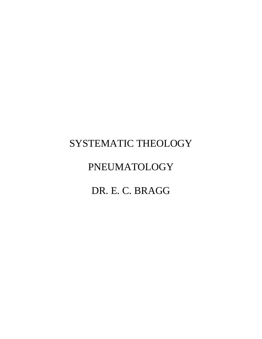# SYSTEMATIC THEOLOGY

# PNEUMATOLOGY

# DR. E. C. BRAGG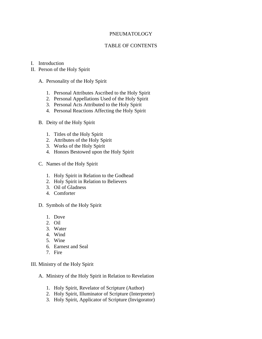# PNEUMATOLOGY

# TABLE OF CONTENTS

- I. Introduction
- II. Person of the Holy Spirit
	- A. Personality of the Holy Spirit
		- 1. Personal Attributes Ascribed to the Holy Spirit
		- 2. Personal Appellations Used of the Holy Spirit
		- 3. Personal Acts Attributed to the Holy Spirit
		- 4. Personal Reactions Affecting the Holy Spirit
	- B. Deity of the Holy Spirit
		- 1. Titles of the Holy Spirit
		- 2. Attributes of the Holy Spirit
		- 3. Works of the Holy Spirit
		- 4. Honors Bestowed upon the Holy Spirit
	- C. Names of the Holy Spirit
		- 1. Holy Spirit in Relation to the Godhead
		- 2. Holy Spirit in Relation to Believers
		- 3. Oil of Gladness
		- 4. Comforter
	- D. Symbols of the Holy Spirit
		- 1. Dove
		- 2. Oil
		- 3. Water
		- 4. Wind
		- 5. Wine
		- 6. Earnest and Seal
		- 7. Fire

III. Ministry of the Holy Spirit

- A. Ministry of the Holy Spirit in Relation to Revelation
	- 1. Holy Spirit, Revelator of Scripture (Author)
	- 2. Holy Spirit, Illuminator of Scripture (Interpreter)
	- 3. Holy Spirit, Applicator of Scripture (Invigorator)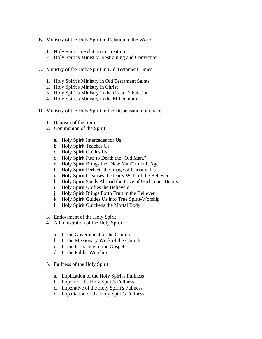- B. Ministry of the Holy Spirit in Relation to the World
	- 1. Holy Spirit in Relation to Creation
	- 2. Holy Spirit's Ministry, Restraining and Conviction
- C. Ministry of the Holy Spirit in Old Testament Times
	- 1. Holy Spirit's Ministry in Old Testament Saints
	- 2. Holy Spirit's Ministry in Christ
	- 3. Holy Spirit's Ministry in the Great Tribulation
	- 4. Holy Spirit's Ministry in the Millennium
- D. Ministry of the Holy Spirit in the Dispensation of Grace
	- 1. Baptism of the Spirit
	- 2. Communion of the Spirit
		- a. Holy Spirit Intercedes for Us
		- b. Holy Spirit Teaches Us
		- c. Holy Spirit Guides Us
		- d. Holy Spirit Puts to Death the "Old Man."
		- e. Holy Spirit Brings the "New Man"' to Full Age
		- f. Holy Spirit Perfects the Image of Christ in Us
		- g. Holy Spirit Cleanses the Daily Walk of the Believer
		- h. Holy Spirit Sheds Abroad the Love of God in our Hearts
		- i. Holy Spirit Unifies the Believers
		- j. Holy Spirit Brings Forth Fruit in the Believer
		- k. Holy Spirit Guides Us into True Spirit-Worship
		- l. Holy Spirit Quickens the Mortal Body
	- 3. Endowment of the Holy Spirit
	- 4. Administration of the Holy Spirit
		- a. In the Government of the Church
		- b. In the Missionary Work of the Church
		- c. In the Preaching of the Gospel
		- d. In the Public Worship
	- 5. Fullness of the Holy Spirit
		- a. Implication of the Holy Spirit's Fullness
		- b. Import of the Holy Spirit's Fullness
		- c. Imperative of the Holy Spirit's Fullness
		- d. Impartation of the Holy Spirit's Fullness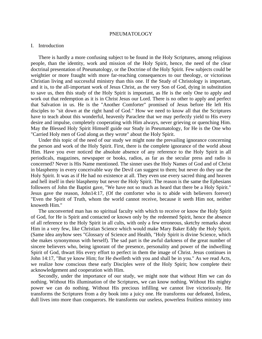#### PNEUMATOLOGY

### I. Introduction

 There is hardly a more confusing subject to be found in the Holy Scriptures, among religious people, than the identity, work and mission of the Holy Spirit, hence, the need of the clear doctrinal presentation of Pneumatology, or the Doctrine of the Holy Spirit. Few subjects could be weightier or more fraught with more far-reaching consequences to our theology, or victorious Christian living and successful ministry than this one. If the Study of Christology is important, and it is, to the all-important work of Jesus Christ, as the very Son of God, dying in substitution to save us, then this study of the Holy Spirit is important, as He is the only One to apply and work out that redemption as it is in Christ Jesus our Lord. There is no other to apply and perfect that Salvation in us. He is the "Another Comforter" promised of Jesus before He left His disciples to "sit down at the right hand of God." How we need to know all that the Scriptures have to teach about this wonderful, heavenly Paraclete that we may perfectly yield to His every desire and impulse, completely cooperating with Him always, never grieving or quenching Him. May the Blessed Holy Spirit Himself guide our Study in Pneumatology, for He is the One who "Carried Holy men of God along as they wrote" about the Holy Spirit.

 Under this topic of the need of our study we might note the prevailing ignorance concerning the person and work of the Holy Spirit. First, there is the complete ignorance of the world about Him. Have you ever noticed the absolute absence of any reference to the Holy Spirit in all periodicals, magazines, newspaper or books, radios, as far as the secular press and radio is concerned? Never is His Name mentioned. The sinner uses the Holy Names of God and of Christ in blasphemy in every conceivable way the Devil can suggest to them; but never do they use the Holy Spirit. It was as if He had no existence at all. They even use every sacred thing and heaven and hell itself in their blasphemy but never the Holy Spirit. The reason is the same the Ephesians followers of John the Baptist gave, "We have not so much as heard that there be a Holy Spirit." Jesus gave the reason, John14:17, (Of the comforter who is to abide with believers forever) "Even the Spirit of Truth, whom the world cannot receive, because it seeth Him not, neither knoweth Him."

 The unconverted man has no spiritual faculty with which to receive or know the Holy Spirit of God, for He is Spirit and contacted or known only by the redeemed Spirit, hence the absence of all reference to the Holy Spirit in all cults, with only a few erroneous, sketchy remarks about Him in a very few, like Christian Science which would make Mary Baker Eddy the Holy Spirit. (Same idea anyhow sees "Glossary of Science and Health, "Holy Spirit is divine Science, which she makes synonymous with herself). The sad part is the awful darkness of the great number of sincere believers who, being ignorant of the presence, personality and power of the indwelling Spirit of God, thwart His every effort to perfect in them the image of Christ. Jesus continues in John 14:17, "But ye know Him; for He dwelleth with you and shall be in you." As we read Acts, we realize how conscious these early Disciples were of the Holy Spirit; how complete their acknowledgement and cooperation with Him.

 Secondly, under the importance of our study, we might note that without Him we can do nothing. Without His illumination of the Scriptures, we can know nothing. Without His mighty power we can do nothing. Without His precious infilling we cannot live victoriously. He transforms the Scriptures from a dry book into a juicy one. He transforms our defeated, listless, dull lives into more than conquerors. He transforms our useless, powerless fruitless ministry into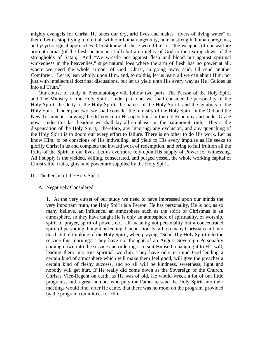mighty evangels for Christ. He takes our dry, arid lives and makes "rivers of living water" of them. Let us stop trying to do it all with our human ingenuity, human strength, human programs, and psychological approaches. Christ knew all these would fail for "the weapons of our warfare are not carnal (of the flesh or human at all) but are mighty of God to the tearing down of the strongholds of Satan;" And "We wrestle not against flesh and blood but against spiritual wickedness in the heavenlies," supernatural foes where the arm of flesh has no power at all, where we need the whole armour of God. Christ, in going away said, I'll send another Comforter." Let us lean wholly upon Him, and, to do this, let us learn all we can about Him, not just with intellectual doctrinal discussions, but let us yield unto His every way as He "Guides us into all Truth."

 Our course of study in Pneumatology will follow two parts: The Person of the Holy Spirit and The Ministry of the Holy Spirit. Under part one, we shall consider the personality of the Holy Spirit, the deity of the Holy Spirit, the names of the Holy Spirit, and the symbols of the Holy Spirit. Under part two, we shall consider the ministry of the Holy Spirit in the Old and the New Testament, showing the difference in His operations in the old Economy and under Grace now. Under this last heading we shall lay all emphasis on the paramount truth, "This is the dispensation of the Holy Spirit," therefore, any ignoring, any exclusion, and any quenching of the Holy Spirit is to doom our every effort to failure. There is no other to do His work. Let us know Him, to be conscious of His indwelling, and yield to His every impulse as He seeks to glorify Christ in us and complete the inward work of redemption, and bring to full fruition all the fruits of the Spirit in our lives. Let us evermore rely upon His supply of Power for witnessing. All I supply is the yielded, willing, consecrated, and purged vessel, the whole working capital of Christ's life, fruits, gifts, and power are supplied by the Holy Spirit.

# II. The Person of the Holy Spirit

# A. Negatively Considered

1. At the very outset of our study we need to have impressed upon our minds the very important truth, the Holy Spirit is a Person. He has personality, He is not, as so many believe, an influence, an atmosphere such as the spirit of Christmas is an atmosphere, so they have taught He is only an atmosphere of spirituality, of worship, spirit of prayer, spirit of power, etc., all meaning not personality but a concentrated spirit of pervading thought or feeling. Unconsciously, all too many Christians fall into this habit of thinking of the Holy Spirit, when praying, "Send Thy Holy Spirit into the service this morning." They have not thought of an August Sovereign Personality coming down into the service and ordering it to suit Himself, changing it to His will, leading them into true spiritual worship. They have only in mind God lending a certain kind of atmosphere which will make them feel good, will give the preacher a certain kind of fleshy success, and so all will be kindness, sweetness, light and nobody will get hurt. If He really did come down as the Sovereign of the Church, Christ's Vice-Regent on earth, as He was of old, He would wreck a lot of our little programs, and a great number who pray the Father to send the Holy Spirit into their meetings would find, after He came, that there was no room on the program, provided by the program committee, for Him.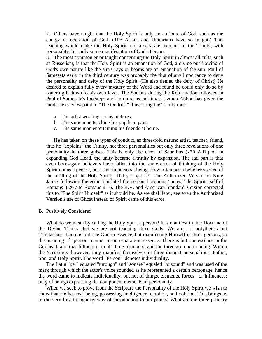2. Others have taught that the Holy Spirit is only an attribute of God, such as the energy or operation of God. (The Arians and Unitarians have so taught.) This teaching would make the Holy Spirit, not a separate member of the Trinity, with personality, but only some manifestation of God's Person.

3. The most common error taught concerning the Holy Spirit in almost all cults, such as Russelism, is that the Holy Spirit is an emanation of God, a divine out flowing of God's own nature like the sun's rays or beams are an emanation of the sun. Paul of Samesata early in the third century was probably the first of any importance to deny the personality and deity of the Holy Spirit. (He also denied the deity of Christ) He desired to explain fully every mystery of the Word and found he could only do so by watering it down to his own level. The Socians during the Reformation followed in Paul of Samesata's footsteps and, in more recent times, Lyman Abbott has given the modernists' viewpoint in "The Outlook" illustrating the Trinity thus:

- a. The artist working on his pictures
- b. The same man teaching his pupils to paint
- c. The same man entertaining his friends at home.

 He has taken on these types of conduct, as three-fold nature; artist, teacher, friend, thus he "explains" the Trinity, not three personalities but only three revelations of one personality in three guises. This is only the error of Sabellius (270 A.D.) of an expanding God Head, the unity became a trinity by expansion. The sad part is that even born-again believers have fallen into the same error of thinking of the Holy Spirit not as a person, but as an impersonal being. How often has a believer spoken of the infilling of the Holy Spirit, "Did you get it?" The Authorized Version of King James following the error translated the personal pronoun "autes," the Spirit itself of Romans 8:26 and Romans 8:16. The R.V. and American Standard Version corrected this to "The Spirit Himself" as it should be. As we shall later, see even the Authorized Version's use of Ghost instead of Spirit came of this error.

#### B. Positively Considered

 What do we mean by calling the Holy Spirit a person? It is manifest in the: Doctrine of the Divine Trinity that we are not teaching three Gods. We are not polytheists but Trinitarians. There is but one God in essence, but manifesting Himself in three persons, so the meaning of "person" cannot mean separate in essence. There is but one essence in the Godhead, and that fullness is in all three members, and the three are one in being. Within the Scriptures, however, they manifest themselves in three distinct personalities, Father, Son, and Holy Spirit. The word "Person'" denotes individuality.

 The Latin "per" equaled "through" and "sonare" equaled "to sound" and was used of the mark through which the actor's voice sounded as he represented a certain personage, hence the word came to indicate individuality, but not of things, elements, forces, or influences; only of beings expressing the component elements of personality.

 When we seek to prove from the Scripture the Personality of the Holy Spirit we wish to show that He has real being, possessing intelligence, emotion, and volition. This brings us to the very first thought by way of introduction to our proofs: What are the three primary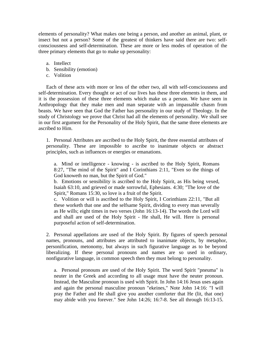elements of personality? What makes one being a person, and another an animal, plant, or insect but not a person? Some of the greatest of thinkers have said there are two: selfconsciousness and self-determination. These are more or less modes of operation of the three primary elements that go to make up personality:

- a. Intellect
- b. Sensibility (emotion)
- c. Volition

 Each of these acts with more or less of the other two, all with self-consciousness and self-determination. Every thought or act of our lives has these three elements in them, and it is the possession of these three elements which make us a person. We have seen in Anthropology that they make men and man separate with an impassable chasm from beasts. We have seen that God the Father has personality in our study of Theology. In the study of Christology we prove that Christ had all the elements of personality. We shall see in our first argument for the Personality of the Holy Spirit, that the same three elements are ascribed to Him.

1. Personal Attributes are ascribed to the Holy Spirit, the three essential attributes of personality. These are impossible to ascribe to inanimate objects or abstract principles, such as influences or energies or emanations.

a. Mind or intelligence - knowing - is ascribed to the Holy Spirit, Romans 8:27, "The mind of the Spirit" and I Corinthians 2:11, "Even so the things of God knoweth no man, but the Spirit of God."

b. Emotions or sensibility is ascribed to the Holy Spirit, as His being vexed, Isaiah 63:10, and grieved or made sorrowful, Ephesians. 4:30; "The love of the Spirit," Romans 15:30, so love is a fruit of the Spirit.

c. Volition or will is ascribed to the Holy Spirit, I Corinthians 22:11, "But all these worketh that one and the selfsame Spirit, dividing to every man severally as He wills; eight times in two verses (John 16:13-14). The words the Lord will and shall are used of the Holy Spirit - He shall, He will. Here is personal purposeful action of self-determination.

2. Personal appellations are used of the Holy Spirit. By figures of speech personal names, pronouns, and attributes are attributed to inanimate objects, by metaphor, personification, metonomy, but always in such figurative language as to be beyond liberalizing. If these personal pronouns and names are so used in ordinary, nonfigurative language, in common speech then they must belong to personality.

a. Personal pronouns are used of the Holy Spirit. The word Spirit "pneuma" is neuter in the Greek and according to all usage must have the neuter pronoun. Instead, the Masculine pronoun is used with Spirit. In John 14:16 Jesus uses again and again the personal masculine pronoun "ekeines," Note John 14:16: "I will pray the Father and He shall give you another comforter that He (lit, that one) may abide with you forever." See John 14:26; 16:7-8. See all through 16:13-15.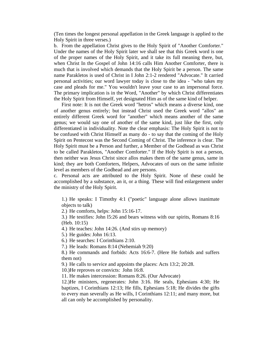(Ten times the longest personal appellation in the Greek language is applied to the Holy Spirit in three verses.)

b. From the appellation Christ gives to the Holy Spirit of "Another Comforter." Under the names of the Holy Spirit later we shall see that this Greek word is one of the proper names of the Holy Spirit, and it take its full meaning there, but, when Christ In the Gospel of John 14:16 calls Him Another Comforter, there is much that is involved which demands that the Holy Spirit be a person. The same name Parakletos is used of Christ in I John 2:1-2 rendered "Advocate." It carried personal activities; our word lawyer today is close to the idea - "who takes my case and pleads for me." You wouldn't leave your case to an impersonal force. The primary implication is in the Word, "Another" by which Christ differentiates the Holy Spirit from Himself, yet designated Him as of the same kind of helper.

 First note: It is not the Greek word "hetros" which means a diverse kind, one of another genus entirely; but instead Christ used the Greek word "allos" an entirely different Greek word for "another" which means another of the same genus; we would say one of another of the same kind, just like the first, only differentiated in individuality. Note the clear emphasis: The Holy Spirit is not to be confused with Christ Himself as many do - to say that the coming of the Holy Spirit on Pentecost was the Second Coming of Christ. The inference is clear. The Holy Spirit must be a Person and further, a Member of the Godhead as was Christ to be called Parakletos, "Another Comforter." If the Holy Spirit is not a person, then neither was Jesus Christ since allos makes them of the same genus, same in kind; they are both Comforters, Helpers, Advocates of ours on the same infinite level as members of the Godhead and are persons.

c. Personal acts are attributed to the Holy Spirit. None of these could be accomplished by a substance, an it, or a thing. These will find enlargement under the ministry of the Holy Spirit.

1.) He speaks: I Timothy 4:1 ("poetic" language alone allows inanimate objects to talk)

2.) He comforts, helps: John 15:16-17.

3.) He testifies: John l5:26 and bears witness with our spirits, Romans 8:16 (Heb. 10:15)

4.) He teaches: John 14:26. (And stirs up memory)

5.) He guides: John 16:13.

6.) He searches: I Corinthians 2:10.

7.) He leads: Romans 8:14 (Nehemiah 9:20)

8.) He commands and forbids: Acts 16:6-7. (Here He forbids and suffers them not)

9.) He calls to service and appoints the places: Acts 13:2; 20:28.

10.)He reproves or convicts: John 16:8.

11. He makes intercession: Romans 8:26. (Our Advocate)

12.)He ministers, regenerates: John 3:16. He seals, Ephesians 4:30; He baptizes, I Corinthians 12:13; He fills, Ephesians 5:18; He divides the gifts to every man severally as He wills, I Corinthians 12:11; and many more, but all can only be accomplished by personality.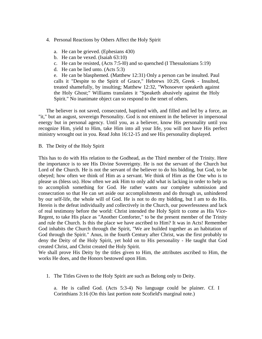- 4. Personal Reactions by Others Affect the Holy Spirit
	- a. He can be grieved. (Ephesians 430)
	- b. He can be vexed. (Isaiah 63:10)
	- c. He can be resisted, (Acts 7:5-l0) and so quenched (I Thessalonians 5:19)
	- d. He can be lied unto. (Acts 5:3)

e. He can be blasphemed. (Matthew 12:31) Only a person can be insulted. Paul calls it "Despite to the Spirit of Grace," Hebrews 10:29, Greek - Insulted, treated shamefully, by insulting; Matthew 12:32, "Whosoever speaketh against the Holy Ghost;" Williams translates it "Speaketh abusively against the Holy Spirit." No inanimate object can so respond to the tenet of others.

 The believer is not saved, consecrated, baptized with, and filled and led by a force, an "it," but an august, sovereign Personality. God is not eminent in the believer in impersonal energy but in personal agency. Until you, as a believer, know His personality until you recognize Him, yield to Him, take Him into all your life, you will not have His perfect ministry wrought out in you. Read John 16:12-15 and see His personality displayed.

B. The Deity of the Holy Spirit

This has to do with His relation to the Godhead, as the Third member of the Trinity. Here the importance is to see His Divine Sovereignty. He is not the servant of the Church but Lord of the Church. He is not the servant of the believer to do his bidding, but God, to be obeyed; how often we think of Him as a servant. We think of Him as the One who is to please us (bless us). How often we ask Him to only add what is lacking in order to help us to accomplish something for God. He rather wants our complete submission and consecration so that He can set aside our accomplishments and do through us, unhindered by our self-life, the whole will of God. He is not to do my bidding, but I am to do His. Herein is the defeat individually and collectively in the Church, our powerlessness and lack of real testimony before the world: Christ intended the Holy Spirit to come as His Vice-Regent, to take His place as "Another Comforter," to be the present member of the Trinity and rule the Church. Is this the place we have ascribed to Him? It was in Acts! Remember God inhabits the Church through the Spirit, "We are builded together as an habitation of God through the Spirit." Anus, in the fourth Century after Christ, was the first probably to deny the Deity of the Holy Spirit, yet hold on to His personality - He taught that God created Christ, and Christ created the Holy Spirit.

We shall prove His Deity by the titles given to Him, the attributes ascribed to Him, the works He does, and the Honors bestowed upon Him.

1. The Titles Given to the Holy Spirit are such as Belong only to Deity.

a. He is called God. (Acts 5:3-4) No language could be plainer. Cf. I Corinthians 3:16 (On this last portion note Scofield's marginal note.)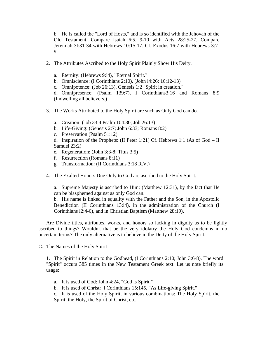b. He is called the "Lord of Hosts," and is so identified with the Jehovah of the Old Testament. Compare Isaiah 6:5, 9-10 with Acts 28:25-27. Compare Jeremiah 3l:31-34 with Hebrews 10:15-17. Cf. Exodus 16:7 with Hebrews 3:7- 9.

- 2. The Attributes Ascribed to the Holy Spirit Plainly Show His Deity.
	- a. Eternity: (Hebrews 9:l4), "Eternal Spirit."
	- b. Omniscience: (I Corinthians 2:10), (John l4:26; 16:12-13)
	- c. Omnipotence: (Job 26:13), Genesis 1:2 "Spirit in creation."

d. Omnipresence: (Psalm 139:7), I Corinthians3:16 and Romans 8:9 (Indwelling all believers.)

- 3. The Works Attributed to the Holy Spirit are such as Only God can do.
	- a. Creation: (Job 33:4 Psalm 104:30; Job 26:13)
	- b. Life-Giving: (Genesis 2:7; John 6:33; Romans 8:2)
	- c. Preservation (Psalm 51:12)

d. Inspiration of the Prophets: (II Peter 1:21) Cf. Hebrews 1:1 (As of God – II Samuel 23:2)

- e. Regeneration: (John 3:3-8; Titus 3:5)
- f. Resurrection (Romans 8:11)
- g. Transformation: (II Corinthians 3:18 R.V.)
- 4. The Exalted Honors Due Only to God are ascribed to the Holy Spirit.

a. Supreme Majesty is ascribed to Him; (Matthew 12:31), by the fact that He can be blasphemed against as only God can.

b. His name is linked in equality with the Father and the Son, in the Apostolic Benediction (II Corinthians 13:l4), in the administration of the Church (I Corinthians l2:4-6), and in Christian Baptism (Matthew 28:19).

 Are Divine titles, attributes, works, and honors so lacking in dignity as to be lightly ascribed to things? Wouldn't that be the very idolatry the Holy God condemns in no uncertain terms? The only alternative is to believe in the Deity of the Holy Spirit.

C. The Names of the Holy Spirit

1. The Spirit in Relation to the Godhead, (I Corinthians 2:10; John 3:6-8). The word "Spirit" occurs 385 times in the New Testament Greek text. Let us note briefly its usage:

- a. It is used of God: John 4:24, "God is Spirit."
- b. It is used of Christ: I Corinthians 15:145, "As Life-giving Spirit."
- c. It is used of the Holy Spirit, in various combinations: The Holy Spirit, the Spirit, the Holy, the Spirit of Christ, etc.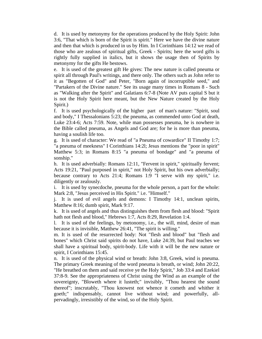d. It is used by metonymy for the operations produced by the Holy Spirit: John 3:6, "That which is born of the Spirit is spirit." Here we have the divine nature and then that which is produced in us by Him. In I Corinthians 14:12 we read of those who are zealous of spiritual gifts, Greek - Spirits; here the word gifts is rightly fully supplied in italics, but it shows the usage then of Spirits by metonymy for the gifts He bestows.

e. It is used of the greatest gift He gives: The new nature is called pneuma or spirit all through Paul's writings, and there only. The others such as John refer to it as "Begotten of God" and Peter, "Born again of incorruptible seed," and "Partakers of the Divine nature." See its usage many times in Romans 8 - Such as "Walking after the Spirit" and Galatians 6:7-8 (Note AV puts capital S but it is not the Holy Spirit here meant, but the New Nature created by the Holy Spirit.)

f. It is used psychologically of the higher part of man's nature: "Spirit, soul and body," I Thessalonians 5:23; the pneuma, as commended unto God at death, Luke 23:4-6; Acts 7:59. Note, while man possesses pneuma, he is nowhere in the Bible called pneuma, as Angels and God are; for he is more than pneuma, having a soulish life too.

g. It is used of character: We read of "a Pneuma of cowardice" II Timothy 1:7; "a pneuma of meekness" I Corinthians 14:2l; Jesus mentions the "poor in spirit" Matthew 5:3; in Romans 8:15 "a pneuma of bondage" and "a pneuma of sonship."

h. It is used adverbially: Romans 12:11, "Fervent in spirit," spiritually fervent; Acts 19:21, "Paul purposed in spirit," not Holy Spirit, but his own adverbially; because contrary to Acts 21:4; Romans 1:9 "I serve with my spirit," i.e. diligently or zealously.

i. It is used by synecdoche, pneuma for the whole person, a part for the whole: Mark 2:8, "Jesus perceived in His Spirit." i.e. "Himself."

j. It is used of evil angels and demons: I Timothy 14:1, unclean spirits, Matthew 8:16; dumb spirit, Mark 9:17.

k. It is used of angels and thus distinguishes them from flesh and blood: "Spirit hath not flesh and blood," Hebrews 1:7, Acts 8:29, Revelation 1:4.

l. It is used of the feelings, by metonomy, i.e., the will, mind, desire of man because it is invisible, Matthew 26:41, "The spirit is willing."

m. It is used of the resurrected body: Not "flesh and blood" but "flesh and bones" which Christ said spirits do not have, Luke 24:39, but Paul teaches we shall have a spiritual body, spirit-body. Life with it will be the new nature or spirit, I Corinthians 15:45.

n. It is used of the physical wind or breath: John 3:8, Greek, wind is pneuma. The primary Greek meaning of the word pneuma is breath, or wind; John 20:22, "He breathed on them and said receive ye the Holy Spirit," Job 33:4 and Ezekiel 37:8-9. See the appropriateness of Christ using the Wind as an example of the sovereignty, "Bloweth where it lusteth;" invisibly, "Thou hearest the sound thereof"; inscrutably, "Thou knowest not whence it cometh and whither it goeth;" indispensably, cannot live without wind; and powerfully, allpervadingly, irresistibly of the wind, so of the Holy Spirit.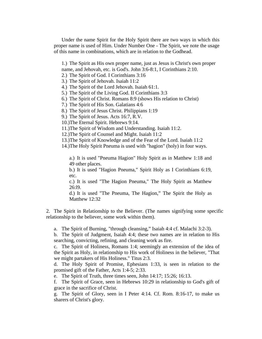Under the name Spirit for the Holy Spirit there are two ways in which this proper name is used of Him. Under Number One - The Spirit, we note the usage of this name in combinations, which are in relation to the Godhead.

1.) The Spirit as His own proper name, just as Jesus is Christ's own proper name, and Jehovah, etc. is God's. John 3:6-8:1, I Corinthians 2:10.

2.) The Spirit of God. I Corinthians 3:16

3.) The Spirit of Jehovah. Isaiah 11:2

4.) The Spirit of the Lord Jehovah. Isaiah 61:1.

5.) The Spirit of the Living God. II Corinthians 3:3

6.) The Spirit of Christ. Romans 8:9 (shows His relation to Christ)

7.) The Spirit of His Son. Galatians 4:6

8.) The Spirit of Jesus Christ. Philippians 1:19

9.) The Spirit of Jesus. Acts 16:7, R.V.

10.)The Eternal Spirit. Hebrews 9:14.

11.)The Spirit of Wisdom and Understanding. Isaiah 11:2.

12.)The Spirit of Counsel and Might. Isaiah 11:2

13.)The Spirit of Knowledge and of the Fear of the Lord. Isaiah 11:2

14.)The Holy Spirit Pneuma is used with "hagion" (holy) in four ways.

a.) It is used "Pneuma Hagion" Holy Spirit as in Matthew 1:18 and 49 other places.

b.) It is used "Hagion Pneuma," Spirit Holy as I Corinthians 6:19, etc.

c.) It is used "The Hagion Pneuma," The Holy Spirit as Matthew 26:l9.

d.) It is used "The Pneuma, The Hagion," The Spirit the Holy as Matthew 12:32

2. The Spirit in Relationship to the Believer. (The names signifying some specific relationship to the believer, some work within them).

a. The Spirit of Burning, "through cleansing," Isaiah 4:4 cf. Malachi 3:2-3).

b. The Spirit of Judgment, Isaiah 4:4; these two names are in relation to His searching, convicting, refining, and cleaning work as fire.

c. The Spirit of Holiness, Romans 1:4; seemingly an extension of the idea of the Spirit as Holy, in relationship to His work of Holiness in the believer, "That we might partakers of His Holiness." Titus 2:3.

d. The Holy Spirit of Promise, Ephesians 1:33, is seen in relation to the promised gift of the Father, Acts 1:4-5; 2:33.

e. The Spirit of Truth, three times seen, John 14:17; 15:26; 16:13.

f. The Spirit of Grace, seen in Hebrews 10:29 in relationship to God's gift of grace in the sacrifice of Christ.

g. The Spirit of Glory, seen in I Peter 4:14. Cf. Rom. 8:16-17, to make us sharers of Christ's glory.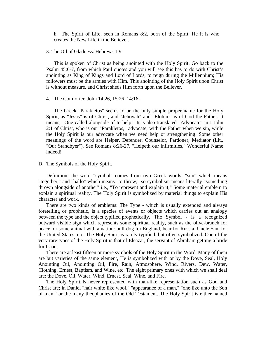h. The Spirit of Life, seen in Romans 8:2, born of the Spirit. He it is who creates the New Life in the Believer.

#### 3. The Oil of Gladness. Hebrews 1:9

 This is spoken of Christ as being anointed with the Holy Spirit. Go back to the Psalm 45:6-7, from which Paul quotes and you will see this has to do with Christ's anointing as King of Kings and Lord of Lords, to reign during the Millennium; His followers must be the armies with Him. This anointing of the Holy Spirit upon Christ is without measure, and Christ sheds Him forth upon the Believer.

## 4. The Comforter. John 14:26, 15:26, 14:16.

 The Greek "Parakletos" seems to be the only simple proper name for the Holy Spirit, as "Jesus" is of Christ, and "Jehovah" and "Elohim" is of God the Father. It means, "One called alongside of to help." It is also translated "Advocate" in I John 2:1 of Christ, who is our "Parakletos," advocate, with the Father when we sin, while the Holy Spirit is our advocate when we need help or strengthening. Some other meanings of the word are Helper, Defender, Counselor, Pardoner, Mediator (Lit., "Our Standbyer"). See Romans 8:26-27, "Helpeth our infirmities," Wonderful Name indeed!

D. The Symbols of the Holy Spirit.

 Definition: the word "symbol" comes from two Greek words, "sun" which means "together," and "ballo" which means "to throw," so symbolism means literally "something thrown alongside of another" i.e., "To represent and explain it;" Some material emblem to explain a spiritual reality. The Holy Spirit is symbolized by material things to explain His character and work.

 There are two kinds of emblems: The Type - which is usually extended and always foretelling or prophetic, is a species of events or objects which carries out an analogy between the type and the object typified prophetically. The Symbol - is a recognized outward visible sign which represents some spiritual reality, such as the olive-branch for peace, or some animal with a nation: bull-dog for England, bear for Russia, Uncle Sam for the United States, etc. The Holy Spirit is rarely typified, but often symbolized. One of the very rare types of the Holy Spirit is that of Eleazar, the servant of Abraham getting a bride for Isaac.

 There are at least fifteen or more symbols of the Holy Spirit in the Word. Many of them are but varieties of the same element, He is symbolized with or by the Dove, Seal, Holy Anointing Oil, Anointing Oil, Fire, Rain, Atmosphere, Wind, Rivers, Dew, Water, Clothing, Ernest, Baptism, and Wine, etc. The eight primary ones with which we shall deal are: the Dove, Oil, Water, Wind, Ernest, Seal, Wine, and Fire.

 The Holy Spirit Is never represented with man-like representation such as God and Christ are; in Daniel "hair white like wool," "appearance of a man," "one like unto the Son of man," or the many theophanies of the Old Testament. The Holy Spirit is either named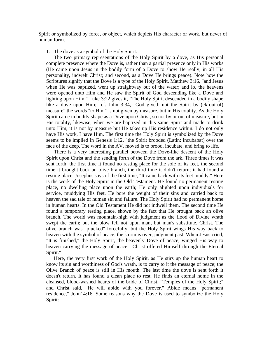Spirit or symbolized by force, or object, which depicts His character or work, but never of human form.

1. The dove as a symbol of the Holy Spirit.

 The two primary representations of the Holy Spirit by a dove, as His personal complete presence where the Dove is, rather than a partial presence only in His works (He came upon Jesus in the bodily form of a Dove to show He really, in all His personality, indwelt Christ; and second, as a Dove He brings peace). Note how the Scriptures signify that the Dove is a type of the Holy Spirit, Matthew 3:16, "and Jesus when He was baptized, went up straightway out of the water; and lo, the heavens were opened unto Him and He saw the Spirit of God descending like a Dove and lighting upon Him." Luke 3:22 gives it, "The Holy Spirit descended in a bodily shape like a dove upon Him;" cf. John 3:34, "God giveth not the Spirit by (ek-out-of) measure" the words "to Him" is not given by measure, but in His totality. As the Holy Spirit came in bodily shape as a Dove upon Christ, so not by or out of measure, but in His totality, likewise, when we are baptized in this same Spirit and made to drink unto Him, it is not by measure but He takes up His residence within. I do not only have His work, I have Him. The first time the Holy Spirit is symbolized by the Dove seems to be implied in Genesis 1:12, "the Spirit brooded (Latin: incubabat) over the face of the deep. The word in the AV. moved is to brood, incubate, and bring to life.

 There is a very interesting parallel between the Dove-like descent of the Holy Spirit upon Christ and the sending forth of the Dove from the ark. Three times it was sent forth; the first time it found no resting place for the sole of its feet, the second time it brought back an olive branch, the third time it didn't return; it had found a resting place. Josephus says of the first time, "It came back with its feet muddy." Here is the work of the Holy Spirit in the Old Testament. He found no permanent resting place, no dwelling place upon the earth; He only alighted upon individuals for service, muddying His feet. He bore the weight of their sins and carried back to heaven the sad tale of human sin and failure. The Holy Spirit had no permanent home in human hearts. In the Old Testament He did not indwell them. The second time He found a temporary resting place, shown by the fact that He brought back an olive branch. The world was mountain-high with judgment as the flood of Divine wrath swept the earth; but the blow fell not upon man, but man's substitute, Christ. The olive branch was "plucked" forcefully, but the Holy Spirit wings His way back to heaven with the symbol of peace; the storm is over, judgment past. When Jesus cried, "It is finished," the Holy Spirit, the heavenly Dove of peace, winged His way to heaven carrying the message of peace. "Christ offered Himself through the Eternal Spirit."

 Here, the very first work of the Holy Spirit, as He stirs up the human heart to know its sin and worthiness of God's wrath, is to carry to it the message of peace; the Olive Branch of peace is still in His mouth. The last time the dove is sent forth it doesn't return. It has found a clean place to rest. He finds an eternal home in the cleansed, blood-washed hearts of the bride of Christ, "Temples of the Holy Spirit;" and Christ said, "He will abide with you forever." Abide means "permanent residence," John14:16. Some reasons why the Dove is used to symbolize the Holy Spirit: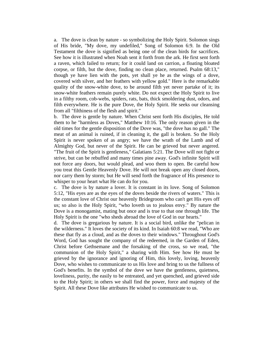a. The dove is clean by nature - so symbolizing the Holy Spirit. Solomon sings of His bride, "My dove, my undefiled," Song of Solomon 6:9. In the Old Testament the dove is signified as being one of the clean birds for sacrifices. See how it is illustrated when Noah sent it forth from the ark. He first sent forth a raven, which failed to return; for it could land on carrion, a floating bloated corpse, or filth, but the dove, finding no clean place, returned. Psalm 68:13," though ye have lien with the pots, yet shall ye he as the wings of a dove, covered with silver, and her feathers with yellow gold." Here is the remarkable quality of the snow-white dove, to be around filth yet never partake of it; its snow-white feathers remain purely white. Do not expect the Holy Spirit to live in a filthy room, cob-webs, spiders, rats, bats, thick smoldering dust, odors, and filth everywhere. He is the pure Dove, the Holy Spirit. He seeks our cleansing from all "filthiness of the flesh and spirit."

b. The dove is gentle by nature. When Christ sent forth His disciples, He told them to he "harmless as Doves," Matthew 10:16. The only reason given in the old times for the gentle disposition of the Dove was, "the dove has no gall." The meat of an animal is ruined, if in cleaning it, the gall is broken. So the Holy Spirit is never spoken of as angry; we have the wrath of the Lamb and of Almighty God, but never of the Spirit. He can be grieved but never angered. "The fruit of the Spirit is gentleness," Galatians 5:21. The Dove will not fight or strive, but can be rebuffed and many times pine away. God's infinite Spirit will not force any doors, but would plead, and woo them to open. Be careful how you treat this Gentle Heavenly Dove. He will not break open any closed doors, nor carry them by storm; but He will send forth the fragrance of His presence to whisper to your heart what He can do for you.

c. The dove is by nature a lover. It is constant in its love. Song of Solomon 5:12, "His eyes are as the eyes of the doves beside the rivers of waters." This is the constant love of Christ our heavenly Bridegroom who can't get His eyes off us; so also is the Holy Spirit, "who loveth us to jealous envy." By nature the Dove is a monogamist, mating but once and is true to that one through life. The Holy Spirit is the one "who sheds abroad the love of God in our hearts."

d. The dove is gregarious by nature. It is a social bird, unlike the "pelican in the wilderness." It loves the society of its kind. In Isaiah 60:8 we read, "Who are these that fly as a cloud, and as the doves to their windows." Throughout God's Word, God has sought the company of the redeemed, in the Garden of Eden, Christ before Gethsemane and the forsaking of the cross, so we read, "the communion of the Holy Spirit," a sharing with Him. See how He must be grieved by the ignorance and ignoring of Him, this lovely, loving, heavenly Dove, who wishes to communicate to us His love and bring to us the fullness of God's benefits. In the symbol of the dove we have the gentleness, quietness, loveliness, purity, the easily to be entreated, and yet quenched, and grieved side to the Holy Spirit; in others we shall find the power, force and majesty of the Spirit. All these Dove like attributes He wished to communicate to us.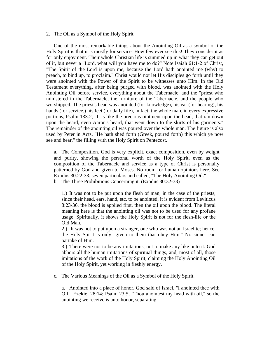2. The Oil as a Symbol of the Holy Spirit.

 One of the most remarkable things about the Anointing Oil as a symbol of the Holy Spirit is that it is mostly for service. How few ever see this! They consider it as for only enjoyment. Their whole Christian life is summed up in what they can get out of it, but never a "Lord, what will you have me to do?" Note Isaiah 61:1-2 of Christ, "The Spirit of the Lord is upon me, because the Lord hath anointed me (why) to preach, to bind up, to proclaim." Christ would not let His disciples go forth until they were anointed with the Power of the Spirit to be witnesses unto Him. In the Old Testament everything, after being purged with blood, was anointed with the Holy Anointing Oil before service, everything about the Tabernacle, and the "priest who ministered in the Tabernacle, the furniture of the Tabernacle, and the people who worshipped. The priest's head was anointed (for knowledge), his ear (for hearing), his hands (for service,) his feet (for daily life), in fact, the whole man, in every expressive portions, Psalm 133:2, "It is like the precious ointment upon the head, that ran down upon the beard, even Aaron's beard, that went down to the skirts of his garments." The remainder of the anointing oil was poured over the whole man. The figure is also used by Peter in Acts. "He hath shed forth (Greek, poured forth) this which ye now see and hear," the filling with the Holy Spirit on Pentecost.

a. The Composition. God is very explicit, exact composition, even by weight and purity, showing the personal worth of the Holy Spirit, even as the composition of the Tabernacle and service as a type of Christ is personally patterned by God and given to Moses. No room for human opinions here. See Exodus 30:22-33, seven particulars and called, "The Holy Anointing Oil." b. The Three Prohibitions Concerning it. (Exodus 30:32-33)

1.) It was not to be put upon the flesh of man; in the case of the priests, since their head, ears, hand, etc. to be anointed, it is evident from Leviticus 8:23-36, the blood is applied first, then the oil upon the blood. The literal meaning here is that the anointing oil was not to be used for any profane usage. Spiritually, it shows the Holy Spirit is not for the flesh-life or the Old Man.

2.) It was not to put upon a stranger, one who was not an Israelite; hence, the Holy Spirit is only "given to them that obey Him." No sinner can partake of Him.

3.) There were not to be any imitations; not to make any like unto it. God abhors all the human imitations of spiritual things, and, most of all, those imitations of the work of the Holy Spirit, claiming the Holy Anointing Oil of the Holy Spirit, yet working in fleshly energy.

c. The Various Meanings of the Oil as a Symbol of the Holy Spirit.

a. Anointed into a place of honor. God said of Israel, "I anointed thee with Oil," Ezekiel 28:14; Psalm 23:5, "Thou anointest my head with oil," so the anointing we receive is unto honor, separating.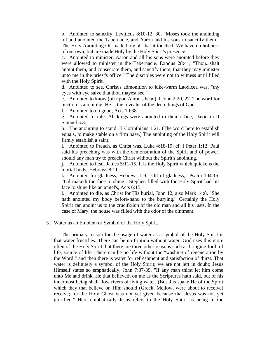b. Anointed to sanctify. Leviticus 8:10-12, 30. "Moses took the anointing oil and anointed the Tabernacle, and Aaron and his sons to sanctify them." The Holy Anointing Oil made holy all that it touched. We have no holiness of our own, but are made Holy by the Holy Spirit's presence.

c. Anointed to minister. Aaron and all his sons were anointed before they were allowed to minister in the Tabernacle. Exodus 28:41, "Thou...shalt anoint them, and consecrate them, and sanctify them, that they may minister unto me in the priest's office." The disciples were not to witness until filled with the Holy Spirit.

d. Anointed to see, Christ's admonition to luke-warm Laodicea was, "thy eyes with eye salve that thou mayest see."

e. Anointed to know (oil upon Aaron's head). I John 2:20, 27. The word for unction is anointing. He is the revealer of the deep things of God.

f. Anointed to do good, Acts 10:38.

g. Anointed to rule. All kings were anointed to their office, David in II Samuel 5:3.

h. The anointing to stand. II Corinthians 1:21. (The word here to establish equals, to make stable on a firm base.) The anointing of the Holy Spirit will firmly establish a saint."

i. Anointed to Preach, as Christ was, Luke 4:18-19; cf. I Peter 1:12. Paul said his preaching was with the demonstration of the Spirit and of power, should any man try to preach Christ without the Spirit's anointing.

j. Anointed to heal. James 5:11-15. It is the Holy Spirit which quickens the mortal body. Hebrews 8:11.

k. Anointed for gladness, Hebrews 1:9, "Oil of gladness;" Psalm 104:15, "Oil maketh the face to shine." Stephen filled with the Holy Spirit had his face to shine like an angel's, Acts 6:15.

l. Anointed to die, as Christ for His burial, John 12, also Mark 14:8, "She hath anointed my body before-hand to the burying." Certainly the Holy Spirit can anoint us to the crucifixion of the old man and all his lusts. In the case of Mary, the house was filled with the odor of the ointment.

3. Water as an Emblem or Symbol of the Holy Spirit.

 The primary reason for the usage of water as a symbol of the Holy Spirit is that water fructifies. There can be no fruition without water. God uses this more often of the Holy Spirit, but there are three other reasons such as bringing forth of life, source of life. There can be no life without the "washing of regeneration by the Word;" and then there is water for refreshment and satisfaction of thirst. That water is definitely a symbol of the Holy Spirit; we are not left in doubt; Jesus Himself states so emphatically, John 7:37-39, "If any man thirst let him come unto Me and drink. He that believeth on me as the Scriptures hath said, out of his innermost being shall flow rivers of living water. (But this spake He of the Spirit which they that believe on Him should (Greek, Mellow, were about to receive) receive; for the Holy Ghost was not yet given because that Jesus was not yet glorified." Here emphatically Jesus refers to the Holy Spirit as being in the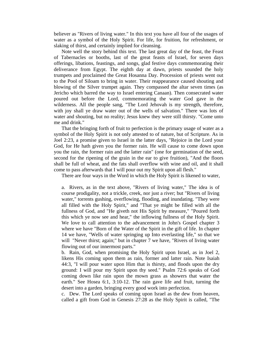believer as "Rivers of living water." In this text you have all four of the usages of water as a symbol of the Holy Spirit. For life, for fruition, for refreshment, or slaking of thirst, and certainly implied for cleansing.

 Note well the story behind this text. The last great day of the feast, the Feast of Tabernacles or booths, last of the great feasts of Israel, for seven days offerings, libations, feastings, and songs, glad festive days commemorating their deliverance from Egypt. The eighth day at dawn, priests sounded the holy trumpets and proclaimed the Great Hosanna Day. Procession of priests went out to the Pool of Siloam to bring in water. Their reappearance caused shouting and blowing of the Silver trumpet again. They compassed the altar seven times (as Jericho which barred the way to Israel entering Canaan). Then consecrated water poured out before the Lord, commemorating the water God gave in the wilderness. All the people sang, "The Lord Jehovah is my strength, therefore, with joy shall ye draw water out of the wells of salvation." There was lots of water and shouting, but no reality; Jesus knew they were still thirsty. "Come unto me and drink."

 That the bringing forth of fruit to perfection is the primary usage of water as a symbol of the Holy Spirit is not only attested to of nature, but of Scripture. As in Joel 2:23, a promise given to Israel in the latter days, "Rejoice in the Lord your God, for He hath given you the former rain. He will cause to come down upon you the rain, the former rain and the latter rain" (one for germination of the seed, second for the ripening of the grain in the ear to give fruition), "And the floors shall be full of wheat, and the fats shall overflow with wine and oil, and it shall come to pass afterwards that I will pour out my Spirit upon all flesh."

There are four ways in the Word in which the Holy Spirit is likened to water,

a. Rivers, as in the text above, "Rivers of living water," The idea is of course prodigality, not a trickle, creek, nor just a river; but "Rivers of living water," torrents gushing, overflowing, flooding, and inundating. "They were all filled with the Holy Spirit," and "That ye might be filled with all the fullness of God, and "He giveth not His Spirit by measure," "Poured forth this which ye now see and hear," the inflowing fullness of the Holy Spirit. We love to call attention to the advancement in John's Gospel chapter 3 where we have "Born of the Water of the Spirit in the gift of life. In chapter 14 we have, "Wells of water springing up Into everlasting life," so that we will "Never thirst; again;" but in chapter 7 we have, "Rivers of living water flowing out of our innermost parts."

b. Rain, God, when promising the Holy Spirit upon Israel, as in Joel 2, likens His coming upon them as rain, former and latter rain. Note Isaiah 44:3, "I will pour water upon Him that is thirsty, and floods upon the dry ground: I will pour my Spirit upon thy seed." Psalm 72:6 speaks of God coming down like rain upon the mown grass as showers that water the earth." See Hosea 6:1, 3:10-12. The rain gave life and fruit, turning the desert into a garden, bringing every good work into perfection.

c. Dew. The Lord speaks of coming upon Israel as the dew from heaven, called a gift from God in Genesis 27:28 as the Holy Spirit is called, "The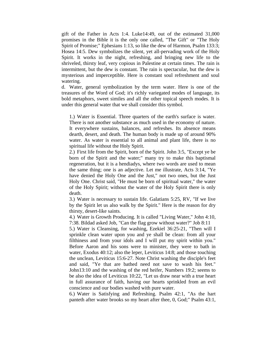gift of the Father in Acts 1:4. Luke14:49, out of the estimated 31,000 promises in the Bible it is the only one called, "The Gift" or "The Holy Spirit of Promise;" Ephesians 1:13, so like the dew of Harmon, Psalm 133:3; Hosea 14:5. Dew symbolizes the silent, yet all-pervading work of the Holy Spirit. It works in the night, refreshing, and bringing new life to the shriveled, thirsty leaf, very copious in Palestine at certain times. The rain is intermittent, but the dew is constant. The rain is spectacular, but the dew is mysterious and imperceptible. Here is constant soul refreshment and soul watering.

d. Water, general symbolization by the term water. Here is one of the treasures of the Word of God; it's richly variegated modes of language, its bold metaphors, sweet similes and all the other topical speech modes. It is under this general water that we shall consider this symbol.

1.) Water is Essential. Three quarters of the earth's surface is water. There is not another substance as much used in the economy of nature. It everywhere sustains, balances, and refreshes. Its absence means dearth, desert, and death. The human body is made up of around 90% water. As water is essential to all animal and plant life, there is no spiritual life without the Holy Spirit.

2.) First life from the Spirit, born of the Spirit. John 3:5, "Except ye be born of the Spirit and the water;" many try to make this baptismal regeneration, but it is a hendiadys, where two words are used to mean the same thing; one is an adjective. Let me illustrate, Acts 3:14, "Ye have denied the Holy One and the Just," not two ones, but the Just Holy One. Christ said, "He must be born of spiritual water," the water of the Holy Spirit; without the water of the Holy Spirit there is only death.

3.) Water is necessary to sustain life. Galatians 5:25, RV, "If we live by the Spirit let us also walk by the Spirit." Here is the reason for dry thirsty, desert-like saints.

4.) Water is Growth Producing. It is called "Living Water," John 4:10, 7:38. Bildad asked Job, "Can the flag grow without water?" Job 8:11

5.) Water is Cleansing, for washing, Ezekiel 36:25-21, "Then will I sprinkle clean water upon you and ye shall be clean: from all your filthiness and from your idols and I will put my spirit within you." Before Aaron and his sons were to minister, they were to bath in water, Exodus 40:12; also the leper, Leviticus 14:8; and those touching the unclean, Leviticus 15:6-27. Note Christ washing the disciple's feet and said, "Ye that are bathed need not save to wash his feet." John13:10 and the washing of the red heifer, Numbers 19:2; seems to be also the idea of Leviticus 10:22, "Let us draw near with a true heart in full assurance of faith, having our hearts sprinkled from an evil conscience and our bodies washed with pure water.

6.) Water is Satisfying and Refreshing. Psalm 42:1, "As the hart panteth after water brooks so my heart after thee, 0, God;" Psalm 43:1,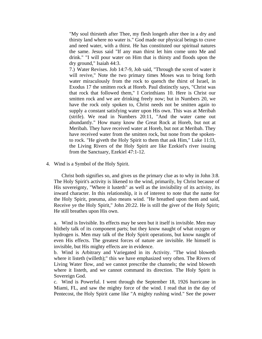"My soul thirsteth after Thee, my flesh longeth after thee in a dry and thirsty land where no water is." God made our physical beings to crave and need water, with a thirst. He has constituted our spiritual natures the same. Jesus said "If any man thirst let him come unto Me and drink." "I will pour water on Him that is thirsty and floods upon the dry ground," Isaiah 44:3.

7.) Water Revises. Job 14:7-9, Job said, "Through the scent of water it will revive," Note the two primary times Moses was to bring forth water miraculously from the rock to quench the thirst of Israel, in Exodus 17 the smitten rock at Horeb. Paul distinctly says, "Christ was that rock that followed them," I Corinthians 10. Here is Christ our smitten rock and we are drinking freely now; but in Numbers 20, we have the rock only spoken to, Christ needs not be smitten again to supply a constant satisfying water upon His own. This was at Meribah (strife). We read in Numbers 20:11, "And the water came out abundantly." How many know the Great Rock at Horeb, but not at Meribah. They have received water at Horeb, but not at Meribah. They have received water from the smitten rock, but none from the spokento rock. "He giveth the Holy Spirit to them that ask Him," Luke 11:l3, the Living Rivers of the Holy Spirit are like Ezekiel's river issuing from the Sanctuary, Ezekiel 47:1-12.

4. Wind is a Symbol of the Holy Spirit.

 Christ both signifies so, and gives us the primary clue as to why in John 3:8. The Holy Spirit's activity is likened to the wind, primarily, by Christ because of His sovereignty, "Where it lusteth" as well as the invisibility of its activity, its inward character. In this relationship, it is of interest to note that the name for the Holy Spirit, pneuma, also means wind. "He breathed upon them and said, Receive ye the Holy Spirit," John 20:22. He is still the giver of the Holy Spirit; He still breathes upon His own.

a. Wind is Invisible. Its effects may be seen but it itself is invisible. Men may blithely talk of its component parts; but they know naught of what oxygen or hydrogen is. Men may talk of the Holy Spirit operations, but know naught of even His effects. The greatest forces of nature are invisible. He himself is invisible, but His mighty effects are in evidence.

b. Wind is Arbitrary and Variegated in its Activity. "The wind bloweth where it listeth (willeth);" this we have emphasized very often. The Rivers of Living Water flow, and we cannot prescribe the channels; the wind bloweth where it listeth, and we cannot command its direction. The Holy Spirit is Sovereign God.

c. Wind is Powerful. I went through the September 18, 1926 hurricane in Miami, FL, and saw the mighty force of the wind. I read that in the day of Pentecost, the Holy Spirit came like "A mighty rushing wind." See the power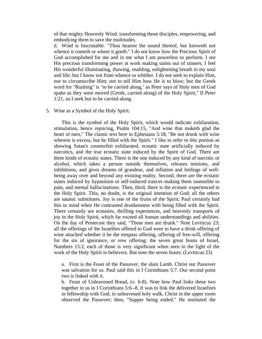of that mighty Heavenly Wind, transforming those disciples, empowering, and embodying them to save the multitudes.

d. Wind is Inscrutable. "Thou hearest the sound thereof, but knoweth not whence it cometh or where it goeth." I do not know how the Precious Spirit of God accomplished for me and in me what I am powerless to perform. I see His precious transforming power at work making saints out of sinners; I feel His wonderful illuminating, thawing, enabling, enlightening breath in my soul and life; but I know not from whence or whither. I do not seek to explain Him, nor to circumscribe Him; not to tell Him how He is to blow; but the Greek word for "Rushing" is 'to be carried along,' as Peter says of Holy men of God spake as they were moved (Greek, carried along) of the Holy Spirit," II Peter 1:21, so I seek but to be carried along.

## 5. Wine as a Symbol of the Holy Spirit.

 This is the symbol of the Holy Spirit, which would indicate exhilaration, stimulation, hence rejoicing, Psalm 104:15, "And wine that maketh glad the heart of men," The classic text here in Ephesians 5:18, "Be not drunk with wine wherein is excess, but be filled with the Spirit." I like to refer to this portion as showing Satan's counterfeit exhilarated, ecstatic state artificially induced by narcotics, and the true ecstatic state induced by the Spirit of God. There are three kinds of ecstatic states. There is the one induced by any kind of narcotic or alcohol, which takes a person outside themselves, releases tensions, and inhibitions, and gives dreams of grandeur, and inflation and feelings of wellbeing away over and beyond any existing reality. Second, there are the ecstatic states induced by hypnotism or self-induced trances making them insensible to pain, and mental hallucinations. Then, third, there is the ecstatic experienced in the Holy Spirit. This, no doubt, is the original intention of God; all the others are satanic substitutes. Joy is one of the fruits of the Spirit; Paul certainly had this in mind when He contrasted drunkenness with being filled with the Spirit. There certainly are ecstasies, thrilling experiences, and heavenly transports of joy in the Holy Spirit, which far exceed all human understandings and abilities. On the day of Pentecost they said, "These men are drunk." Note Leviticus 23; all the offerings of the Israelites offered to God were to have a drink offering of wine attached whether it be the trespass offering, offering of free-will, offering for the sin of ignorance, or vow offering: the seven great feasts of Israel, Numbers 15:2, each of those is very significant when seen in the light of the work of the Holy Spirit in believers. But note the seven feasts: (Leviticus 23)

a. First is the Feast of the Passover, the slain Lamb. Christ our Passover was salvation for us. Paul said this in I Corinthians 5:7. Our second point two is linked with it.

b. Feast of Unleavened Bread, (v. 6-8). Note how Paul links these two together in us in I Corinthians 5:6--8. It was to link the delivered Israelites in fellowship with God, in unleavened holy walk. Christ in the upper room observed the Passover; then, "Supper being ended," He instituted the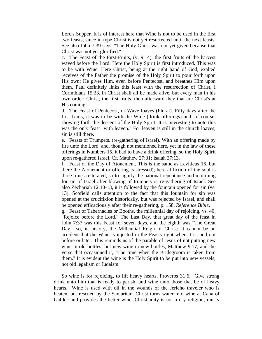Lord's Supper. It is of interest here that Wine is not to be used in the first two feasts, since in type Christ is not yet resurrected until the next feasts. See also John 7:39 says, "The Holy Ghost was not yet given because that Christ was not yet glorified."

c. The Feast of the First-Fruits, (v. 9.14), the first fruits of the harvest waved before the Lord. Here the Holy Spirit is first introduced. This was to be with Wine. Here Christ, being at the right hand of God, exalted receives of the Father the promise of the Holy Spirit to pour forth upon His own; He gives Him, even before Pentecost, and breathes Him upon them. Paul definitely links this feast with the resurrection of Christ, I Corinthians 15:23, in Christ shall all be made alive, but every man in his own order; Christ, the first fruits, then afterward they that are Christ's at His coming.

d. The Feast of Pentecost, or Wave loaves (Plural). Fifty days after the first fruits, it was to be with the Wine (drink offerings) and, of course, showing forth the descent of the Holy Spirit. It is interesting to note this was the only feast "with leaven." For leaven is still in the church loaves; sin is still there.

e. Feasts of Trumpets, (re-gathering of Israel). With an offering made by fire unto the Lord, and, though not mentioned here, yet in the law of these offerings in Numbers 15, it had to have a drink offering, so the Holy Spirit upon re-gathered Israel, Cf. Matthew 27:31; Isaiah 27:13.

f. Feast of the Day of Atonement. This is the same as Leviticus 16, but there the Atonement or offering is stressed); here affliction of the soul is three times reiterated, so to signify the national repentance and mourning for sin of Israel after blowing of trumpets or re-gathering of Israel. See also Zechariah 12:10-13, it is followed by the fountain opened for sin (vs. 13). Scofield calls attention to the fact that this fountain for sin was opened at the crucifixion historically, but was rejected by Israel, and shall be opened efficaciously after their re-gathering, p. 158, *Reference Bible*.

g. Feast of Tabernacles or Booths, the millennial day of rejoicing, vs. 40, "Rejoice before the Lord." The Last Day, that great day of the feast in John 7:37 was this Feast for seven days, and the eighth was "The Great Day," so, in history, the Millennial Reign of Christ; It cannot be an accident that the Wine is injected in the Feasts right when it is, and not before or later. This reminds us of the parable of Jesus of not putting new wine in old bottles; but new wine in new bottles, Matthew 9:17, and the verse that occasioned it, "The time when the Bridegroom is taken from them." It is evident the wine is the Holy Spirit to be put into new vessels, not old legalism or Judaism.

 So wine is for rejoicing, to lift heavy hearts, Proverbs 31:6, "Give strong drink unto him that is ready to perish, and wine unto those that be of heavy hearts." Wine is used with oil in the wounds of the Jericho traveler who is beaten, but rescued by the Samaritan. Christ turns water into wine at Cana of Galilee and provides the better wine. Christianity is not a dry religion, musty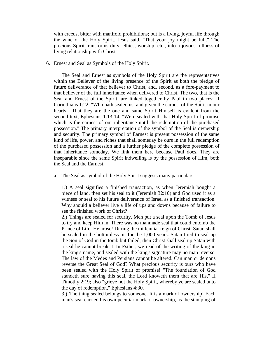with creeds, bitter with manifold prohibitions; but is a living, joyful life through the wine of the Holy Spirit. Jesus said, "That your joy might be full." The precious Spirit transforms duty, ethics, worship, etc., into a joyous fullness of living relationship with Christ.

6. Ernest and Seal as Symbols of the Holy Spirit.

 The Seal and Ernest as symbols of the Holy Spirit are the representatives within the Believer of the living presence of the Spirit as both the pledge of future deliverance of that believer to Christ, and, second, as a fore-payment to that believer of the full inheritance when delivered to Christ. The two, that is the Seal and Ernest of the Spirit, are linked together by Paul in two places; II Corinthians 1:22, "Who hath sealed us, and given the earnest of the Spirit in our hearts." That they are the one and same Spirit Himself is evident from the second text, Ephesians 1:13-14, "Were sealed with that Holy Spirit of promise which is the earnest of our inheritance until the redemption of the purchased possession." The primary interpretation of the symbol of the Seal is ownership and security. The primary symbol of Earnest is present possession of the same kind of life, power, and riches that shall someday be ours in the full redemption of the purchased possession and a further pledge of the complete possession of that inheritance someday. We link them here because Paul does. They are inseparable since the same Spirit indwelling is by the possession of Him, both the Seal and the Earnest.

a. The Seal as symbol of the Holy Spirit suggests many particulars:

1.) A seal signifies a finished transaction, as when Jeremiah bought a piece of land, then set his seal to it (Jeremiah 32:10) and God used it as a witness or seal to his future deliverance of Israel as a finished transaction. Why should a believer live a life of ups and downs because of failure to see the finished work of Christ?

2.) Things are sealed for security. Men put a seal upon the Tomb of Jesus to try and keep Him in. There was no manmade seal that could entomb the Prince of Life; He arose! During the millennial reign of Christ, Satan shall be scaled in the bottomless pit for the 1,000 years. Satan tried to seal up the Son of God in the tomb but failed; then Christ shall seal up Satan with a seal he cannot break it. In Esther, we read of the writing of the king in the king's name, and sealed with the king's signature may no man reverse. The law of the Medes and Persians cannot be altered. Can man or demons reverse the Great Seal of God? What precious security is ours who have been sealed with the Holy Spirit of promise! "The foundation of God standeth sure having this seal, the Lord knoweth them that are His," II Timothy 2:19; also "grieve not the Holy Spirit, whereby ye are sealed unto the day of redemption," Ephesians 4:30.

3.) The thing sealed belongs to someone. It is a mark of ownership! Each man's seal carried his own peculiar mark of ownership, as the stamping of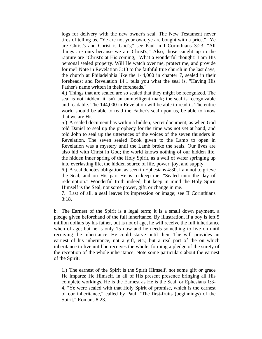logs for delivery with the new owner's seal. The New Testament never tires of telling us, "Ye are not your own, ye are bought with a price." "Ye are Christ's and Christ is God's;" see Paul in I Corinthians 3:23, "All things are ours because we are Christ's;" Also, those caught up in the rapture are "Christ's at His coming," What a wonderful thought! I am His personal sealed property. Will He watch over me, protect me, and provide for me? Note in Revelation 3:13 to the faithful true church in the last days, the church at Philadelphia like the 144,000 in chapter 7, sealed in their foreheads; and Revelation 14:1 tells you what the seal is, "Having His Father's name written in their foreheads."

4.) Things that are sealed are so sealed that they might be recognized. The seal is not hidden; it isn't an unintelligent mark; the seal is recognizable and readable. The 144,000 in Revelation will be able to read it. The entire world should be able to read the Father's seal upon us, be able to know that we are His.

5.) A sealed document has within a hidden, secret document, as when God told Daniel to seal up the prophecy for the time was not yet at hand, and told John to seal up the utterances of the voices of the seven thunders in Revelation. The seven sealed Book given to the Lamb to open in Revelation was a mystery until the Lamb broke the seals. Our lives are also hid with Christ in God; the world knows nothing of our hidden life, the hidden inner spring of the Holy Spirit, as a well of water springing up into everlasting life, the hidden source of life, power, joy, and supply.

6.) A seal denotes obligation, as seen in Ephesians 4:30, I am not to grieve the Seal, and on His part He is to keep me, "Sealed unto the day of redemption." Wonderful truth indeed, but keep in mind the Holy Spirit Himself is the Seal, not some power, gift, or change in me.

7. Last of all, a seal leaves its impression or image; see II Corinthians 3:18.

 b. The Earnest of the Spirit is a legal term; it is a small down payment, a pledge given beforehand of the full inheritance. By illustration, if a boy is left 5 million dollars by his father, but is not of age, he will receive the full inheritance when of age; but he is only 15 now and he needs something to live on until receiving the inheritance. He could starve until then. The will provides an earnest of his inheritance, not a gift, etc.; but a real part of the on which inheritance to live until he receives the whole, forming a pledge of the surety of the reception of the whole inheritance, Note some particulars about the earnest of the Spirit:

1.) The earnest of the Spirit is the Spirit Himself, not some gift or grace He imparts; He Himself, in all of His present presence bringing all His complete workings. He is the Earnest as He is the Seal, or Ephesians 1:3- 4, "Ye were sealed with that Holy Spirit of promise, which is the earnest of our inheritance," called by Paul, "The first-fruits (beginnings) of the Spirit," Romans 8:23.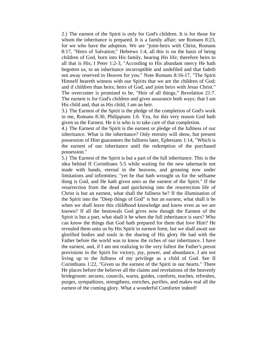2.) The earnest of the Spirit is only for God's children. It is for those for whom the inheritance is prepared. It is a family affair; see Romans 8:23, for we who have the adoption. We are "joint-heirs with Christ, Romans 8:17, "Heirs of Salvation;" Hebrews 1:4, all this is on the basis of being children of God, born into His family, bearing His life; therefore heirs to all that is His; I Peter 1:2-3, "According to His abundant mercy He hath begotten us, to an inheritance incorruptible and undefiled and that fadeth not away reserved in Heaven for you." Note Romans 8:16-17, "The Spirit Himself beareth witness with our Spirits that we are the children of God; and if children than heirs; heirs of God, and joint heirs with Jesus Christ." The overcomer is promised to be, "Heir of all things," Revelation 21:7. The earnest is for God's children and gives assurance both ways; that I am His child and, that as His child, I am an heir.

3.) The Earnest of the Spirit is the pledge of the completion of God's work in me, Romans 8:30, Philippians 1:6. Yea, for this very reason God hath given us the Earnest. He it is who is to take care of that completion.

4.) The Earnest of the Spirit is the earnest or pledge of the fullness of our inheritance. What is the inheritance? Only eternity will show, but present possession of Him guarantees the fullness later, Ephesians 1:14, "Which is the earnest of our inheritance until the redemption of the purchased possession."

5.) The Earnest of the Spirit is but a part of the full inheritance. This is the idea behind II Corinthians 5:5 while waiting for the new tabernacle not made with hands, eternal in the heavens, and groaning now under limitations and infirmities; "yet he that hath wrought us for the selfsame thing is God, and He hath given unto us the earnest of the Spirit." If the resurrection from the dead and quickening into the resurrection life of Christ is but an earnest, what shall the fullness be? If the illumination of the Spirit into the "Deep things of God" is but an earnest, what shall it be when we shall leave this childhood knowledge and know even as we are known? If all the bestowals God gives now though the Earnest of the Spirit is but a part, what shall it be when the full inheritance is ours? Who can know the things that God hath prepared for them that love Him? He revealed them unto us by His Spirit in earnest form, but we shall await our glorified bodies and souls in the sharing of His glory He had with the Father before the world was to know the riches of our inheritance. I have the earnest, and, if I am not realizing to the very fullest the Father's presnt provisions in the Spirit for victory, joy, power, and abundance, I am not living up to the fullness of my privilege as a child of God. See II Corinthians 1:22, "Given us the earnest of the Spirit in our hearts." There He places before the believer all the claims and revelations of the heavenly bridegroom: secures, councils, warns, guides, comforts, teaches, refreshes, purges, sympathizes, strengthens, enriches, purifies, and makes real all the earnest of the coming glory. What a wonderful Comforter indeed!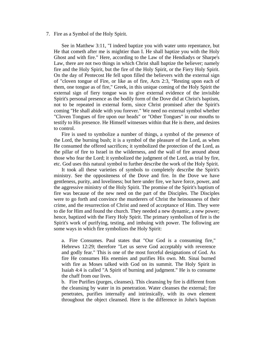#### 7. Fire as a Symbol of the Holy Spirit.

 See in Matthew 3:11, "I indeed baptize you with water unto repentance, but He that cometh after me is mightier than I. He shall baptize you with the Holy Ghost and with fire." Here, according to the Law of the Hendiadys or Sharpe's Law, there are not two things in which Christ shall baptize the believer; namely fire and the Holy Spirit, but the fire of the Holy Spirit, or the Fiery Holy Spirit. On the day of Pentecost He fell upon filled the believers with the external sign of "cloven tongue of Fire, or like as of fire, Acts 2:3, "Resting upon each of them, one tongue as of fire," Greek, in this unique coming of the Holy Spirit the external sign of fiery tongue was to give external evidence of the invisible Spirit's personal presence as the bodily form of the Dove did at Christ's baptism, not to be repeated in external form, since Christ promised after the Spirit's coming "He shall abide with you forever." We need no external symbol whether "Cloven Tongues of fire upon our heads" or "Other Tongues" in our mouths to testify to His presence. He Himself witnesses within that He is there, and desires to control.

 Fire is used to symbolize a number of things, a symbol of the presence of the Lord, the burning bush; it is a symbol of the pleasure of the Lord, as when He consumed the offered sacrifices; it symbolized the protection of the Lord, as the pillar of fire to Israel in the wilderness, and the wall of fire around about those who fear the Lord; it symbolized the judgment of the Lord, as trial by fire, etc. God uses this natural symbol to further describe the work of the Holy Spirit.

 It took all these varieties of symbols to completely describe the Spirit's ministry. See the oppositeness of the Dove and fire. In the Dove we have gentleness, purity, and loveliness; but here under fire, we have force, power, and the aggressive ministry of the Holy Spirit. The promise of the Spirit's baptism of fire was because of the new need on the part of the Disciples. The Disciples were to go forth and convince the murderers of Christ the heinousness of their crime, and the resurrection of Christ and need of acceptance of Him. They were to die for Him and found the church. They needed a new dynamic, a new power; hence, baptized with the Fiery Holy Spirit. The primary symbolism of fire is the Spirit's work of purifying, testing, and imbuing with power. The following are some ways in which fire symbolizes the Holy Spirit:

a. Fire Consumes. Paul states that "Our God is a consuming fire," Hebrews 12:29; therefore "Let us serve God acceptably with reverence and godly fear." This is one of the most forceful designations of God. As fire He consumes His enemies and purifies His own. Mt. Sinai burned with fire as Moses talked with God on its summit. The Holy Spirit in Isaiah 4:4 is called "A Spirit of burning and judgment." He is to consume the chaff from our lives.

b. Fire Purifies (purges, cleanses). This cleansing by fire is different from the cleansing by water in its penetration. Water cleanses the external; fire penetrates, purifies internally and intrinsically, with its own element throughout the object cleansed. Here is the difference in John's baptism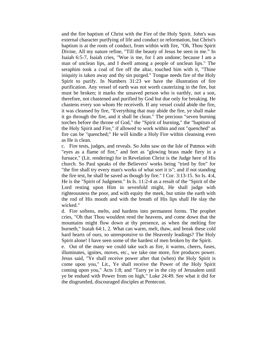and the fire baptism of Christ with the Fire of the Holy Spirit. John's was external character purifying of life and conduct or reformation, but Christ's baptism is at the roots of conduct, from within with fire, "Oh, Thou Spirit Divine, All my nature refine, "Till the beauty of Jesus be seen in me." In Isaiah 6:5-7, Isaiah cries, "Woe is me, for I am undone; because I am a man of unclean lips, and I dwell among a people of unclean lips." The seraphim took a coal of fire off the altar, touched him with it, "Thine iniquity is taken away and thy sin purged." Tongue needs fire of the Holy Spirit to purify. In Numbers 31:23 we have the illustration of fire purification. Any vessel of earth was not worth cauterizing in the fire, but must be broken; it marks the unsaved person who is earthly, not a son, therefore, not chastened and purified by God but due only for breaking. He chastens every son whom He receiveth. If any vessel could abide the fire, it was cleansed by fire, "Everything that may abide the fire, ye shall make it go through the fire, and it shall be clean." The precious "seven burning torches before the throne of God," the "Spirit of burning," the "baptism of the Holy Spirit and Fire," if allowed to work within and not "quenched" as fire can be "quenched;" He will kindle a Holy Fire within cleansing even as He is clean.

c. Fire tests, judges, and reveals. So John saw on the Isle of Patmos with "eyes as a flame of fire," and feet as "glowing brass made fiery in a furnace," (Lit. rendering) for in Revelation Christ is the Judge here of His church. So Paul speaks of the Believers' works being "tried by fire" for "the fire shall try every man's works of what sort it is"; and if not standing the fire test, he shall be saved as though by fire." I Cor. 3:13-15. So Is. 4:4, He is the "Spirit of Judgment." In Is. 11:2-4 as a result of the "Spirit of the Lord resting upon Him in sevenfold might, He shall judge with righteousness the poor, and with equity the meek, but smite the earth with the rod of His mouth and with the breath of His lips shall He slay the wicked."

d. Fire softens, melts, and hardens into permanent forms. The prophet cries, "Oh that Thou wouldest rend the heavens, and come down that the mountains might flow down at thy presence, as when the melting fire burneth," Isaiah 64:1, 2. What can warm, melt, thaw, and break these cold hard hearts of ours, so unresponsive to the Heavenly leadings? The Holy Spirit alone! I have seen some of the hardest of men broken by the Spirit.

e. Out of the many we could take such as fire, it warms, cheers, fuses, illuminates, ignites, moves, etc., we take one more, fire produces power. Jesus said, "Ye shall receive power after that (when) the Holy Spirit is come upon you," Lit., Ye shall receive the Power of the Holy Spirit coming upon you," Acts 1:8; and "Tarry ye in the city of Jerusalem until ye be endued with Power from on high," Luke 24:49. See what it did for the disgruntled, discouraged disciples at Pentecost.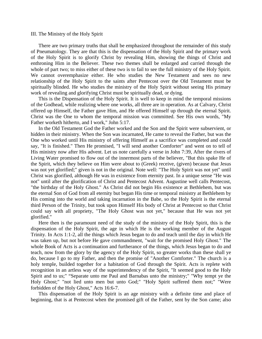#### III. The Ministry of the Holy Spirit

 There are two primary truths that shall be emphasized throughout the remainder of this study of Pneumatology. They are that this is the dispensation of the Holy Spirit and the primary work of the Holy Spirit is to glorify Christ by revealing Him, showing the things of Christ and enthroning Him in the Believer. These two themes shall be enlarged and carried through the whole of part two; to miss either of these two is to fail to see the full ministry of the Holy Spirit. We cannot overemphasize either. He who studies the New Testament and sees no new relationship of the Holy Spirit to the saints after Pentecost over the Old Testament must be spiritually blinded. He who studies the ministry of the Holy Spirit without seeing His primary work of revealing and glorifying Christ must be spiritually dead, or dying.

 This is the Dispensation of the Holy Spirit. It is well to keep in mind the temporal missions of the Godhead, while realizing where one works, all three are in operation. As at Calvary, Christ offered up Himself, the Father gave Him, and He offered Himself up through the eternal Spirit. Christ was the One to whom the temporal mission was committed. See His own words, "My Father worketh hitherto, and I work," John 5:17.

 In the Old Testament God the Father worked and the Son and the Spirit were subservient, or hidden in their ministry. When the Son was incarnated, He came to reveal the Father, but was the One who worked until His ministry of offering Himself as a sacrifice was completed and could say, "It is finished." Then He promised, "I will send another Comforter" and went on to tell of His ministry now after His advent. Let us note carefully a verse in John 7:39, After the rivers of Living Water promised to flow out of the innermost parts of the believer, "But this spake He of the Spirit, which they believe on Him were about to (Greek) receive, (given) because that Jesus was not yet glorified;" given is not in the original. Note well: "The Holy Spirit was not yet" until Christ was glorified, although He was in existence from eternity past. In a unique sense "He was not" until after the glorification of Christ and Pentecost Advent. Augustine well calls Pentecost, "the birthday of the Holy Ghost." As Christ did not begin His existence at Bethlehem, but was the eternal Son of God from all eternity but began His time or temporal ministry at Bethlehem by His coming into the world and taking incarnation in the Babe, so the Holy Spirit is the eternal third Person of the Trinity, but took upon Himself His body of Christ at Pentecost so that Christ could say with all propriety, "The Holy Ghost was not yet," because that He was not yet glorified."

 Here then is the paramount need of the study of the ministry of the Holy Spirit, this is the dispensation of the Holy Spirit, the age in which He is the working member of the August Trinity. In Acts 1:1-2, all the things which Jesus began to do and teach until the day in which He was taken up, but not before He gave commandment, "wait for the promised Holy Ghost." The whole Book of Acts is a continuation and furtherance of the things, which Jesus began to do and teach, now from the glory by the agency of the Holy Spirit, so greater works than these shall ye do, because I go to my Father, and then the promise of "Another Comforter." The church is a holy temple, builded together for a habitation of God through the Spirit. Acts is replete with recognition in an artless way of the superintendency of the Spirit, "It seemed good to the Holy Spirit and to us;" "Separate unto me Paul and Barnabas unto the ministry;" "Why tempt ye the Holy Ghost;" "not lied unto men but unto God;" "Holy Spirit suffered them not;" "Were forbidden of the Holy Ghost," Acts 16:6-7.

 This dispensation of the Holy Spirit is an age ministry with a definite time and place of beginning, that is at Pentecost when the promised gift of the Father, sent by the Son came; also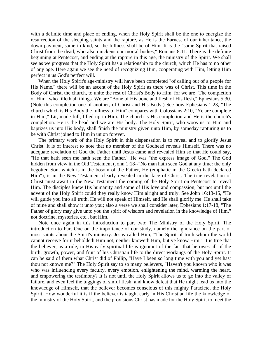with a definite time and place of ending, when the Holy Spirit shall be the one to energize the resurrection of the sleeping saints and the rapture, as He is the Earnest of our inheritance, the down payment, same in kind, so the fullness shall be of Him. It is the "same Spirit that raised Christ from the dead, who also quickens our mortal bodies," Romans 8:11. There is the definite beginning at Pentecost, and ending at the rapture in this age, the ministry of the Spirit. We shall see as we progress that the Holy Spirit has a relationship to the church, which He has to no other of any age. Here again we see the need of recognizing Him, cooperating with Him, letting Him perfect in us God's perfect will.

 When the Holy Spirit's age-ministry will have been completed "of calling out of a people for His Name," there will be an ascent of the Holy Spirit as there was of Christ. This time in the Body of Christ, the church, to unite the rest of Christ's Body to Him, for we are "The completion of Him" who filleth all things. We are "Bone of His bone and flesh of His flesh," Ephesians 5:30. (Note this completion one of another, of Christ and His Body.) See how Ephesians 1:23, "The church which is His Body the fullness of Him" compares with Colossians 2:10, "Ye are complete in Him," Lit, made full, filled up in Him. The church is His completion and He is the church's completion. He is the head and we are His body. The Holy Spirit, who woos us to Him and baptizes us into His body, shall finish the ministry given unto Him, by someday rapturing us to be with Christ joined to Him in union forever.

 The primary work of the Holy Spirit in this dispensation is to reveal and to glorify Jesus Christ. It is of interest to note that no member of the Godhead reveals Himself. There was no adequate revelation of God the Father until Jesus came and revealed Him so that He could say, "He that hath seen me hath seen the Father." He was "the express image of God," The God hidden from view in the Old Testament (John 1:18--"No man hath seen God at any time: the only begotten Son, which is in the bosom of the Father, He (emphatic in the Greek) hath declared Him"), is in the New Testament clearly revealed in the face of Christ. The true revelation of Christ must await in the New Testament the coming of the Holy Spirit on Pentecost to reveal Him. The disciples knew His humanity and some of His love and compassion; but not until the advent of the Holy Spirit could they really know Him alright and truly. See John 16:13-15, "He will guide you into all truth, He will not speak of Himself, and He shall glorify me. He shall take of mine and shall show it unto you; also a verse we shall consider later, Ephesians 1:17-18, "The Father of glory may give unto you the spirit of wisdom and revelation in the knowledge of Him," not doctrine, mysteries, etc., but Him.

 Note once again in this introduction to part two: The Ministry of the Holy Spirit. The introduction to Part One on the importance of our study, namely the ignorance on the part of most saints about the Spirit's ministry. Jesus called Him, "The Spirit of truth whom the world cannot receive for it beholdeth Him not, neither knoweth Him, but ye know Him." It is true that the believer, as a rule, in His early spiritual life is ignorant of the fact that he owes all of the birth, growth, power, and fruit of his Christian life to the direct workings of the Holy Spirit. It can be said of them what Christ did of Philip, "Have I been so long time with you and yet hast thou not known me?" The Holy Spirit say to so many believers, "Haven't you known who it was who was influencing every faculty, every emotion, enlightening the mind, warming the heart, and empowering the testimony? It is not until the Holy Spirit allows us to go into the valley of failure, and even feel the tuggings of sinful flesh, and know defeat that He might lead us into the knowledge of Himself, that the believer becomes conscious of this mighty Paraclete, the Holy Spirit. How wonderful it is if the believer is taught early in His Christian life the knowledge of the ministry of the Holy Spirit, and the provisions Christ has made for the Holy Spirit to meet the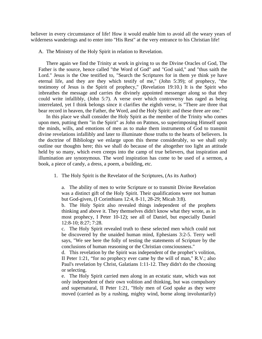believer in every circumstance of life! How it would enable him to avoid all the weary years of wilderness wanderings and to enter into "His Rest" at the very entrance to his Christian life!

A. The Ministry of the Holy Spirit in relation to Revelation.

 There again we find the Trinity at work in giving to us the Divine Oracles of God, The Father is the source, hence called "the Word of God" and "God said," and "thus saith the Lord." Jesus is the One testified to, "Search the Scriptures for in them ye think ye have eternal life, and they are they which testify of me," (John 5:39); of prophecy, "the testimony of Jesus is the Spirit of prophecy," (Revelation 19:10.) It is the Spirit who inbreathes the message and carries the divinely appointed messenger along so that they could write infallibly, (John 5:7). A verse over which controversy has raged as being interrelated, yet I think belongs since it clarifies the eighth verse, is "There are three that bear record in heaven, the Father, the Word, and the Holy Spirit: and these three are one."

 In this place we shall consider the Holy Spirit as the member of the Trinity who comes upon men, putting them "in the Spirit" as John on Patmos, so superimposing Himself upon the minds, wills, and emotions of men as to make them instruments of God to transmit divine revelations infallibly and later to illuminate those truths to the hearts of believers. In the doctrine of Bibliology we enlarge upon this theme considerably, so we shall only outline our thoughts here; this we shall do because of the altogether too light an attitude held by so many, which even creeps into the camp of true believers, that inspiration and illumination are synonymous. The word inspiration has come to be used of a sermon, a book, a piece of candy, a dress, a poem, a building, etc.

1. The Holy Spirit is the Revelator of the Scriptures, (As its Author)

a. The ability of men to write Scripture or to transmit Divine Revelation was a distinct gift of the Holy Spirit. Their qualifications were not human but God-given, (I Corinthians 12:4, 8-11, 28-29; Micah 3:8).

b. The Holy Spirit also revealed things independent of the prophets thinking and above it. They themselves didn't know what they wrote, as in most prophecy, I Peter 10-12); see all of Daniel, but especially Daniel 12:8-10; 8:27; 7:28.

c. The Holy Spirit revealed truth to these selected men which could not be discovered by the unaided human mind, Ephesians 3:2-5. Terry well says, "We see here the folly of testing the statements of Scripture by the conclusions of human reasoning or the Christian consciousness."

d. This revelation by the Spirit was independent of the prophet's volition, II Peter 1:21, "for no prophecy ever came by the will of man," R.V.; also Paul's revelation by Christ, Galatians 1:11-12. They didn't do the choosing or selecting.

e. The Holy Spirit carried men along in an ecstatic state, which was not only independent of their own volition and thinking, but was compulsory and supernatural, II Peter 1:21, "Holy men of God spake as they were moved (carried as by a rushing, mighty wind, borne along involuntarily)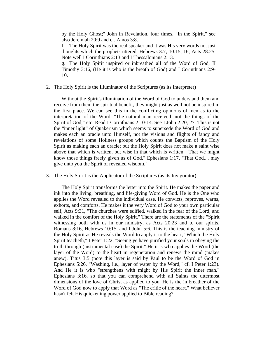by the Holy Ghost;" John in Revelation, four times, "In the Spirit," see also Jeremiah 20:9 and cf. Amos 3:8.

f. The Holy Spirit was the real speaker and it was His very words not just thoughts which the prophets uttered, Hebrews 3:7; 10:15, 16; Acts 28:25. Note well I Corinthians 2:13 and I Thessalonians 2:13.

g. The Holy Spirit inspired or inbreathed all of the Word of God, II Timothy 3:16, (He it is who is the breath of God) and I Corinthians 2:9- 10.

2. The Holy Spirit is the Illuminator of the Scriptures (as its Interpreter)

 Without the Spirit's illumination of the Word of God to understand them and receive from them the spiritual benefit, they might just as well not be inspired in the first place. We can see this in the conflicting opinions of men as to the interpretation of the Word, "The natural man receiveth not the things of the Spirit of God," etc. Read I Corinthians 2:10-14. See I John 2:20, 27. This is not the "inner light" of Quakerism which seems to supersede the Word of God and makes each an oracle unto Himself, not the visions and flights of fancy and revelations of some Holiness groups which counts the Baptism of the Holy Spirit as making each an oracle; but the Holy Spirit does not make a saint wise above that which is written, but wise in that which is written: "That we might know those things freely given us of God," Ephesians 1:17, "That God.... may give unto you the Spirit of revealed wisdom."

3. The Holy Spirit is the Applicator of the Scriptures (as its Invigorator)

 The Holy Spirit transforms the letter into the Spirit. He makes the paper and ink into the living, breathing, and life-giving Word of God. He is the One who applies the Word revealed to the individual case. He convicts, reproves, warns, exhorts, and comforts. He makes it the very Word of God to your own particular self, Acts 9:31, "The churches were edified, walked in the fear of the Lord, and walked in the comfort of the Holy Spirit." There are the statements of the "Spirit witnessing both with us in our ministry, as Acts 20:23 and to our spirits, Romans 8:16, Hebrews 10:15, and I John 5:6. This is the teaching ministry of the Holy Spirit as He reveals the Word to apply it to the heart, "Which the Holy Spirit teacheth," I Peter 1:22, "Seeing ye have purified your souls in obeying the truth through (instrumental case) the Spirit." He it is who applies the Word (the layer of the Word) to the heart in regeneration and renews the mind (makes anew). Titus 3:5 (note this layer is said by Paul to be the Word of God in Ephesians 5:26, "Washing, i.e., layer of water by the Word," cf. I Peter 1:23). And He it is who "strengthens with might by His Spirit the inner man," Ephesians 3:16, so that you can comprehend with all Saints the uttermost dimensions of the love of Christ as applied to you. He is the in breather of the Word of God now to apply that Word as "The critic of the heart." What believer hasn't felt His quickening power applied to Bible reading?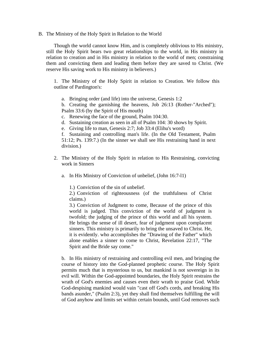B. The Ministry of the Holy Spirit in Relation to the World

 Though the world cannot know Him, and is completely oblivious to His ministry, still the Holy Spirit bears two great relationships to the world, in His ministry in relation to creation and in His ministry in relation to the world of men; constraining them and convicting them and leading them before they are saved to Christ. (We reserve His saving work to His ministry in believers.)

1. The Ministry of the Holy Spirit in relation to Creation. We follow this outline of Pardington's:

a. Bringing order (and life) into the universe, Genesis 1:2

b. Creating the garnishing the heavens, Job 26:13 (Rother-"Arched"); Psalm 33:6 (by the Spirit of His mouth)

- c. Renewing the face of the ground, Psalm 104:30.
- d. Sustaining creation as seen in all of Psalm 104: 30 shows by Spirit.
- e. Giving life to man, Genesis 2:7; Job 33:4 (Elihu's word)

f. Sustaining and controlling man's life. (In the Old Testament, Psalm 51:12; Ps. 139:7.) (In the sinner we shall see His restraining hand in next division.)

- 2. The Ministry of the Holy Spirit in relation to His Restraining, convicting work in Sinners
	- a. In His Ministry of Conviction of unbelief, (John 16:7-l1)

1.) Conviction of the sin of unbelief.

2.) Conviction of righteousness (of the truthfulness of Christ claims.)

3.) Conviction of Judgment to come, Because of the prince of this world is judged. This conviction of the world of judgment is twofold; the judging of the prince of this world and all his system. He brings the sense of ill desert, fear of judgment upon complacent sinners. This ministry is primarily to bring the unsaved to Christ. He, it is evidently. who accomplishes the "Drawing of the Father" which alone enables a sinner to come to Christ, Revelation 22:17, "The Spirit and the Bride say come."

b. In His ministry of restraining and controlling evil men, and bringing the course of history into the God-planned prophetic course. The Holy Spirit permits much that is mysterious to us, but mankind is not sovereign in its evil will. Within the God-appointed boundaries, the Holy Spirit restrains the wrath of God's enemies and causes even their wrath to praise God. While God-despising mankind would vain "cast off God's cords, and breaking His bands asunder," (Psalm 2:3), yet they shall find themselves fulfilling the will of God anyhow and limits set within certain bounds, until God removes such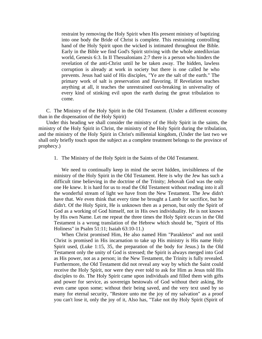restraint by removing the Holy Spirit when His present ministry of baptizing into one body the Bride of Christ is complete. This restraining controlling hand of the Holy Spirit upon the wicked is intimated throughout the Bible. Early in the Bible we find God's Spirit striving with the whole antediluvian world, Genesis 6:3. In II Thessalonians 2:7 there is a person who hinders the revelation of the anti-Christ until he be taken away. The hidden, lawless corruption is already at work in society but there is one called he who prevents. Jesus had said of His disciples, "Ye are the salt of the earth." The primary work of salt is preservation and flavoring. If Revelation teaches anything at all, it teaches the unrestrained out-breaking in universality of every kind of stinking evil upon the earth during the great tribulation to come.

 C. The Ministry of the Holy Spirit in the Old Testament. (Under a different economy than in the dispensation of the Holy Spirit)

 Under this heading we shall consider the ministry of the Holy Spirit in the saints, the ministry of the Holy Spirit in Christ, the ministry of the Holy Spirit during the tribulation, and the ministry of the Holy Spirit in Christ's millennial kingdom, (Under the last two we shall only briefly touch upon the subject as a complete treatment belongs to the province of prophecy.)

1. The Ministry of the Holy Spirit in the Saints of the Old Testament.

 We need to continually keep in mind the secret hidden, invisibleness of the ministry of the Holy Spirit in the Old Testament. Here is why the Jew has such a difficult time believing in the doctrine of the Trinity; Jehovah God was the only one He knew. It is hard for us to read the Old Testament without reading into it all the wonderful stream of light we have from the New Testament. The Jew didn't have that. We even think that every time he brought a Lamb for sacrifice, but he didn't. Of the Holy Spirit, He is unknown then as a person, but only the Spirit of God as a working of God himself, not in His own individuality. He is not known by His own Name. Let me repeat the three times the Holy Spirit occurs in the Old Testament is a wrong translation of the Hebrew which should be, "Spirit of His Holiness" in Psalm 51:11; Isaiah 63:10-11.)

 When Christ promised Him, He also named Him "Parakletos" and not until Christ is promised in His incarnation to take up His ministry is His name Holy Spirit used, (Luke 1:15, 35, the preparation of the body for Jesus.) In the Old Testament only the unity of God is stressed; the Spirit is always merged into God as His power, not as a person; in the New Testament, the Trinity is fully revealed. Furthermore, the Old Testament did not reveal any way by which the Saint could receive the Holy Spirit, nor were they ever told to ask for Him as Jesus told His disciples to do. The Holy Spirit came upon individuals and filled them with gifts and power for service, as sovereign bestowals of God without their asking, He even came upon some; without their being saved, and the very text used by so many for eternal security, "Restore unto me the joy of my salvation" as a proof you can't lose it, only the joy of it, Also has, "Take not thy Holy Spirit (Spirit of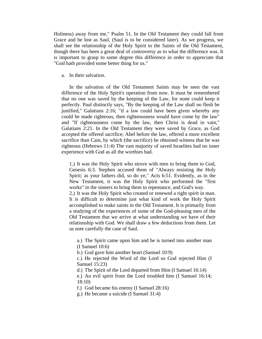Holiness) away from me," Psalm 51. In the Old Testament they could fall from Grace and be lost as Saul, (Saul is to be considered later). As we progress, we shall see the relationship of the Holy Spirit to the Saints of the Old Testament, though there has been a great deal of controversy as to what the difference was. It is important to grasp to some degree this difference in order to appreciate that "God hath provided some better thing for us."

a. In their salvation.

 In the salvation of the Old Testament Saints may be seen the vast difference of the Holy Spirit's operation from now. It must be remembered that no one was saved by the keeping of the Law, for none could keep it perfectly. Paul distinctly says, "By the keeping of the Law shall no flesh be justified," Galatians 2:16; "if a law could have been given whereby any could be made righteous, then righteousness would have come by the law" and "If righteousness come by the law, then Christ is dead in vain," Galatians 2:21. In the Old Testament they were saved by Grace, as God accepted the offered sacrifice; Abel before the law, offered a more excellent sacrifice than Cain, by which (the sacrifice) he obtained witness that he was righteous (Hebrews 11:4) The vast majority of saved Israelites had no inner experience with God as all the worthies had.

1.) It was the Holy Spirit who strove with men to bring them to God, Genesis 6:3. Stephen accused them of "Always resisting the Holy Spirit; as your fathers did, so do ye," Acts 6:51. Evidently, as in the New Testament, it was the Holy Spirit who performed the "first works" in the sinners to bring them to repentance, and God's way.

2.) It was the Holy Spirit who created or renewed a right spirit in man. It is difficult to determine just what kind of work the Holy Spirit accomplished to make saints in the Old Testament. It is primarily from a studying of the experiences of some of the God-pleasing men of the Old Testament that we arrive at what understanding we have of their relationship with God. We shall draw a few deductions from them. Let us note carefully the case of Saul.

a.) The Spirit came upon him and he is turned into another man (I Samuel 10:6)

b.) God gave him another heart (Samuel 10:9)

c.) He rejected the Word of the Lord so God rejected Him (I Samuel 15:23)

d.) The Spirit of the Lord departed from Him (I Samuel 16:14)

e.) An evil spirit from the Lord troubled him (I Samuel 16:14; 18:10)

f.) God became his enemy (I Samuel 28:16)

g.) He became a suicide (I Samuel 31:4)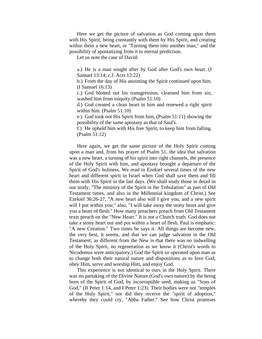Here we get the picture of salvation as God coming upon them with His Spirit, being constantly with them by His Spirit, and creating within them a new heart, or "Turning them into another man," and the possibility of apostatizing from it to eternal prediction.

Let us note the case of David:

a.) He is a man sought after by God after God's own heart. (I Samuel 13:14; c.f. Acts 13:22)

b.) From the day of His anointing the Spirit continued upon him. (I Samuel 16:13)

c.) God blotted out his transgression, cleansed him from sin, washed him from iniquity (Psalm 51:10)

d.) God created a clean heart in him and renewed a right spirit within him. (Psalm 51:10)

e.) God took not His Spirit from him, (Psalm 51:11) showing the possibility of the same apostasy as that of Saul's.

f.) He upheld him with His free Spirit, to keep him from falling. (Psalm 51:12)

 Here again, we get the same picture of the Holy Spirit coming upon a man and, from his prayer of Psalm 51, the idea that salvation was a new heart, a turning of his spirit into right channels, the presence of the Holy Spirit with him, and apostasy brought a departure of the Spirit of God's holiness. We read in Ezekiel several times of the new heart and different spirit in Israel when God shall save them and fill them with His Spirit in the last days. (We shall study those in detail in our study, "The ministry of the Spirit in the Tribulation" as part of Old Testament times, and also in the Millennial kingdom of Christ.) See Ezekiel 36:26-27, "A new heart also will I give you, and a new spirit will I put within you;" also, "I will take away the stony heart and give you a heart of flesh." How many preachers preach from Old Testament texts preach on the "New Heart." It is not a Church truth. God does not take a stony heart out and put within a heart of flesh. Paul is emphatic: "A new Creation." Two times he says it. All things are become new, the very best, it seems, and that we can judge salvation in the Old Testament; as different from the New is that there was no indwelling of the Holy Spirit, no regeneration as we know it (Christ's words to Nicodemus were anticipatory.) God the Spirit so operated upon man as to change both their natural nature and dispositions as to love God, obey Him, serve and worship Him, and enjoy God.

 This experience is not identical to ours in the Holy Spirit. There was no partaking of the Divine Nature (God's own nature) by the being born of the Spirit of God, by incorruptible seed, making us "Sons of God," (II Peter 1:14. and I Peter 1:23). Their bodies were not "temples of the Holy Spirit," nor did they receive the "spirit of adoption," whereby they could cry, "Abba Father." See how Christ promises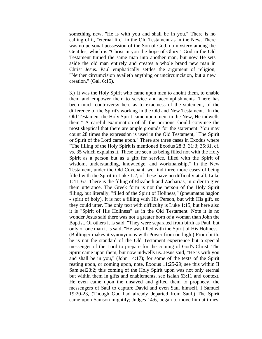something new, "He is with you and shall be in you." There is no calling of it, "eternal life" in the Old Testament as in the New. There was no personal possession of the Son of God, no mystery among the Gentiles, which is "Christ in you the hope of Glory." God in the Old Testament turned the same man into another man, but now He sets aside the old man entirely and creates a whole brand new man in Christ Jesus. Paul emphatically settles the argument of religion, "Neither circumcision availeth anything or uncircumcision, but a new creation," (Gal. 6:15).

3.) It was the Holy Spirit who came upon men to anoint them, to enable them and empower them to service and accomplishments. There has been much controversy here as to exactness of the statement, of the difference of the Spirit's working in the Old and New Testament. "In the Old Testament the Holy Spirit came upon men, in the New, He indwells them." A careful examination of all the portions should convince the most skeptical that there are ample grounds for the statement. You may count 28 times the expression is used in the Old Testament, "The Spirit or Spirit of the Lord came upon." There are three cases in Exodus where "The filling of the Holy Spirit is mentioned Exodus 28:3; 31:3; 35:31, cf. vs. 35 which explains it. These are seen as being filled not with the Holy Spirit as a person but as a gift for service, filled with the Spirit of wisdom, understanding, knowledge, and workmanship," In the New Testament, under the Old Covenant, we find three more cases of being filled with the Spirit in Luke 1:2, of these have no difficulty at all, Luke 1:41, 67. There is the filling of Elizabeth and Zacharias, in order to give them utterance. The Greek form is not the person of the Holy Spirit filling, but literally, "filled of the Spirit of Holiness," (pneumatos hagion - spirit of holy). It is not a filling with His Person, but with His gift, so they could utter. The only text with difficulty is Luke 1:15, but here also it is "Spirit of His Holiness" as in the Old Testament. Note it is no wonder Jesus said there was not a greater born of a woman than John the Baptist. Of others it is said, "They were separated from birth as Paul, but only of one man it is said, "He was filled with the Spirit of His Holiness" (Bullinger makes it synonymous with Power from on high.) From birth, he is not the standard of the Old Testament experience but a special messenger of the Lord to prepare for the coming of God's Christ. The Spirit came upon them, but now indwells us. Jesus said, "He is with you and shall be in you," (John 14:17); for some of the texts of the Spirit resting upon, or coming upon, note, Exodus 11:25-29; see this within II Sam.uel23:2; this coming of the Holy Spirit upon was not only eternal but within them in gifts and enablements, see Isaiah 63:11 and context. He even came upon the unsaved and gifted them to prophecy, the messengers of Saul to capture David and even Saul himself, I Samuel 19:20-23, (Though God had already departed from Saul.) The Spirit came upon Samson mightily; Judges 14:6, began to move him at times,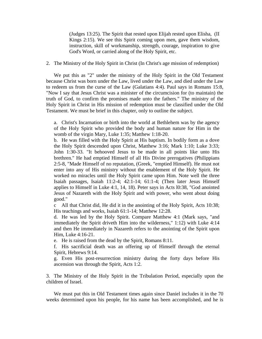(Judges 13:25). The Spirit that rested upon Elijah rested upon Elisha, (II Kings 2:15). We see this Spirit coming upon men, gave them wisdom, instruction, skill of workmanship, strength, courage, inspiration to give God's Word, or carried along of the Holy Spirit, etc.

# 2. The Ministry of the Holy Spirit in Christ (In Christ's age mission of redemption)

 We put this as "2" under the ministry of the Holy Spirit in the Old Testament because Christ was born under the Law, lived under the Law, and died under the Law to redeem us from the curse of the Law (Galatians 4:4). Paul says in Romans 15:8, "Now I say that Jesus Christ was a minister of the circumcision for (to maintain) the truth of God, to confirm the promises made unto the fathers." The ministry of the Holy Spirit in Christ in His mission of redemption must be classified under the Old Testament. We must be brief in this chapter, only to outline the subject.

a. Christ's Incarnation or birth into the world at Bethlehem was by the agency of the Holy Spirit who provided the body and human nature for Him in the womb of the virgin Mary, Luke 1:35; Matthew 1:18-20.

b. He was filled with the Holy Spirit at His baptism. In bodily form as a dove the Holy Spirit descended upon Christ, Matthew 3:16; Mark 1:10; Luke 3:33; John 1:30-33. "It behooved Jesus to be made in all points like unto His brethren." He had emptied Himself of all His Divine prerogatives (Philippians 2:5-8, "Made Himself of no reputation, (Greek, "emptied Himself). He must not enter into any of His ministry without the enablement of the Holy Spirit. He worked no miracles until the Holy Spirit came upon Him. Note well the three Isaiah passages, Isaiah 11:2-4; 42:1-14; 61:1-4; (Then later Jesus Himself applies to Himself in Luke 4:1, 14, 18). Peter says in Acts l0:38, "God anointed Jesus of Nazareth with the Holy Spirit and with power, who went about doing good."

c All that Christ did, He did it in the anointing of the Holy Spirit, Acts 10:38; His teachings and works, Isaiah 61:1-14; Matthew 12:28.

d. He was led by the Holy Spirit. Compare Matthew 4:1 (Mark says, "and immediately the Spirit driveth Him into the wilderness," 1:12) with Luke 4:14 and then He immediately in Nazareth refers to the anointing of the Spirit upon Him, Luke 4:16-21.

e. He is raised from the dead by the Spirit, Romans 8:11.

f. His sacrificial death was an offering up of Himself through the eternal Spirit, Hebrews 9:14.

g. Even His post-resurrection ministry during the forty days before His ascension was through the Spirit, Acts 1:2.

3. The Ministry of the Holy Spirit in the Tribulation Period, especially upon the children of Israel.

 We must put this in Old Testament times again since Daniel includes it in the 70 weeks determined upon his people, for his name has been accomplished, and he is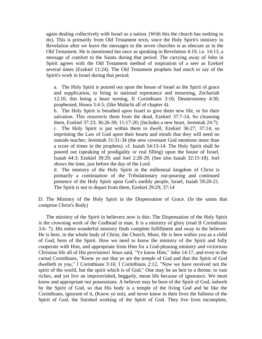again dealing collectively with Israel as a nation. (With this the church has nothing to do). This is primarily from Old Testament texts, since the Holy Spirit's ministry in Revelation after we leave the messages to the seven churches is as obscure as in the Old Testament. He is mentioned but once as speaking in Revelation 4:19, i.e. 14:13, a message of comfort to the Saints during that period. The carrying away of John in Spirit agrees with the Old Testament method of inspiration of a seer as Ezekiel several times (Ezekiel 11:24). The Old Testament prophets had much to say of the Spirit's work in Israel during that period.

a. The Holy Spirit is poured out upon the house of Israel as the Spirit of grace and supplication, to bring in national repentance and mourning, Zechariah 12:10, this being a heart turning, II Corinthians 3:16; Deuteronomy 4:30, prophesied, Hosea 3:4-5; (like Malachi all of chapter 4).

b. The Holy Spirit is breathed upon Israel to give them new life, or for their salvation. This resurrects them from the dead, Ezekiel 37:7-14, So cleansing them, Ezekiel 37:23; 36:26-30; 11:17-20; (Includes a new heart, Jeremiah 24:7). c. The Holy Spirit is put within them to dwell, Ezekiel 36:27; 37:14, so imprinting the Law of God upon their hearts and minds that they will need no outside teacher, Jeremiah 31:31-34 (the new covenant God mentions more than a score of times in the prophets). cf. Isaiah 54:13-14. The Holy Spirit shall be poured out (speaking of prodigality or real filling) upon the house of Israel, Isaiah 44:3; Ezekiel 39:29; and Joel 2:28-29; (See also Isaiah 32:15-18). Joel shows the time, just before the day of the Lord.

d. The ministry of the Holy Spirit in the millennial kingdom of Christ is primarily a continuation of the Tribulationary out-pouring and continued presence of the Holy Spirit upon God's earthly people, Israel, Isaiah 59:20-21. The Spirit is not to depart from them, Ezekiel 29:29, 37:14

D. The Ministry of the Holy Spirit in the Dispensation of Grace. (In the saints that comprise Christ's Body)

 The ministry of the Spirit in believers now is this: The Dispensation of the Holy Spirit is the crowning work of the Godhead in man. It is a ministry of glory (read II Corinthians 3:6- 7). His entire wonderful ministry finds complete fulfillment and sway in the believer. He is here, in the whole body of Christ, the Church. More, He is here within you as a child of God, born of the Spirit. How we need to know the ministry of the Spirit and fully cooperate with Him, and appropriate from Him for a God-pleasing ministry and victorious Christian life all of His provisions! Jesus said, "Ye know Him," John 14:17, and even to the carnal Corinthians, "Know ye not that ye are the temple of God and that the Spirit of God dwelleth in you," I Corinthians 3:16; I Corinthians 2:12, "Now we have received not the spirit of the world, but the spirit which is of God," One may be an heir to a throne, to vast riches, and yet live an impoverished, beggarly, mean life because of ignorance. We must know and appropriate our possessions. A believer may be born of the Spirit of God, indwelt by the Spirit of God, so that His body is a temple of the living God and be like the Corinthians, ignorant of it, (Know ye not), and never know in their lives the fullness of the Spirit of God, the finished working of the Spirit of God. They live lives incomplete,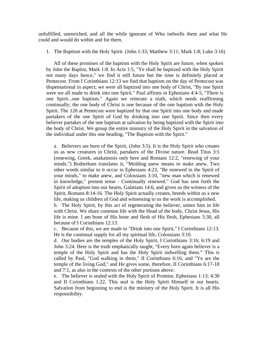unfulfilled, unenriched, and all the while ignorant of Who indwells them and what He could and would do within and for them.

1. The Baptism with the Holy Spirit. (John 1:33; Matthew 3:11; Mark 1:8; Luke 3:16)

 All of these promises of the baptism with the Holy Spirit are future, when spoken by John the Baptist, Mark 1:8. In Acts 1:5, "Ye shall be baptized with the Holy Spirit not many days hence," we find it still future but the time is definitely placed at Pentecost. From I Corinthians 12:13 we find that baptism on the day of Pentecost was dispensational in aspect; we were all baptized into one body of Christ, "By one Spirit were we all made to drink into one Spirit." Paul affirms in Ephesians 4:4-5, "There is one Spirit...one baptism." Again we reiterate a truth, which needs reaffirming continually; the one body of Christ is one because of the one baptism with the Holy Spirit. The 120 at Pentecost were baptized by that one Spirit into one body and made partakers of the one Spirit of God by drinking into one Spirit. Since then every believer partakes of the one baptism at salvation by being baptized with the Spirit into the body of Christ. We group the entire ministry of the Holy Spirit in the salvation of the individual under this one heading, "The Baptism with the Spirit."

a. Believers are born of the Spirit, (John 3:5). It is the Holy Spirit who creates us as new creatures in Christ, partakers of the Divine nature. Read Titus 3:5 (renewing, Greek, anakainosis only here and Romans 12:2, "renewing of your minds.") Rotherham translates it, "Molding anew means to make anew. Two other words similar to it occur in Ephesians 4:23, "Be renewed in the Spirit of your minds," to make anew, and Colossians 3:10, "new man which is renewed in knowledge," present tense - Continually renewed." God has sent forth the Spirit of adoption into our hearts, Galatians 14:6, and given us the witness of the Spirit, Romans 8:14-16. The Holy Spirit actually creates, breeds within us a new life, making us children of God and witnessing to us the work is accomplished.

b. The Holy Spirit, by this act of regenerating the believer, unites him in life with Christ. We share common life with the Head of the body, Christ Jesus, His life is mine. I am bone of His bone and flesh of His flesh, Ephesians 5:30, all because of I Corinthians 12:13.

c. Because of this, we are made to "Drink into one Spirit," I Corinthians 12:13. He is the continual supply for all my spiritual life, Colossians 3:10.

d. Our bodies are the temples of the Holy Spirit, I Corinthians 3:16; 6:19 and John 3:24. Here is the truth emphatically taught, "Every born again believer is a temple of the Holy Spirit and has the Holy Spirit indwelling them." This is called by Paul, "God walking in them," II Corinthians 6:16; and "Ye are the temple of the living God," and He gives some, therefore, II Corinthians 6:17-18 and 7:1, as also in the contexts of the other portions above.

e. The believer is sealed with the Holy Spirit of Promise, Ephesians 1:13; 4:30 and II Corinthians 1:22. This seal is the Holy Spirit Himself in our hearts. Salvation from beginning to end is the ministry of the Holy Spirit. It is all His responsibility.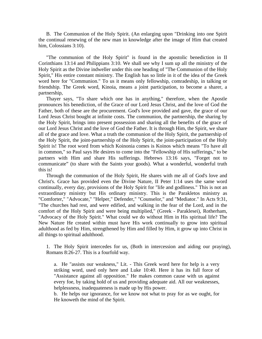B. The Communion of the Holy Spirit. (An enlarging upon "Drinking into one Spirit the continual renewing of the new man in knowledge after the image of Him that created him, Colossians 3:10).

 "The communion of the Holy Spirit" is found in the apostolic benediction in II Corinthians 13:14 and Philippians 3:10. We shall see why I sum up all the ministry of the Holy Spirit as the Divine indweller under this one heading of "The Communion of the Holy Spirit," His entire constant ministry. The English has so little in it of the idea of the Greek word here for "Communion." To us it means only fellowship, comradeship, in talking or friendship. The Greek word, Kinoia, means a joint participation, to become a sharer, a partnership,

 Thayer says, "To share which one has in anything," therefore, when the Apostle pronounces his benediction, of the Grace of our Lord Jesus Christ, and the love of God the Father, both of these are the procurement. God's love provided and gave, the grace of our Lord Jesus Christ bought at infinite costs. The communion, the partnership, the sharing by the Holy Spirit, brings into present possession and sharing all the benefits of the grace of our Lord Jesus Christ and the love of God the Father. It is through Him, the Spirit, we share all of the grace and love. What a truth the communion of the Holy Spirit, the partnership of the Holy Spirit, the joint-partnership of the Holy Spirit, the joint-participation of the Holy Spirit is! The root word from which Koinonia comes is Koinos which means "To have all in common," so Paul says He desires to come into the "Fellowship of His sufferings," to be partners with Him and share His sufferings. Hebrews 13:16 says, "Forget not to communicate" (to share with the Saints your goods). What a wonderful, wonderful truth this is!

 Through the communion of the Holy Spirit, He shares with me all of God's love and Christ's. Grace has provided even the Divine Nature, II Peter 1:14 uses the same word continually, every day, provisions of the Holy Spirit for "life and godliness." This is not an extraordinary ministry but His ordinary ministry. This is the Parakletos ministry as "Comforter," "Advocate," "Helper," Defender," "Counselor," and "Mediator." In Acts 9:31, "The churches had rest, and were edified, and walking in the fear of the Lord, and in the comfort of the Holy Spirit and were being multiplied," (Greek - Paraklesei), Rotherham, "Advocacy of the Holy Spirit." What could we do without Him in His spiritual life? The New Nature He created within must have His work continually to grow into spiritual adulthood as fed by Him, strengthened by Him and filled by Him, it grow up into Christ in all things to spiritual adulthood.

1. The Holy Spirit intercedes for us, (Both in intercession and aiding our praying), Romans 8:26-27. This is a fourfold way.

a. He "assists our weakness," Lit. - This Greek word here for help is a very striking word, used only here and Luke 10:40. Here it has its full force of "Assistance against all opposition." He makes common cause with us against every foe, by taking hold of us and providing adequate aid. All our weaknesses, helplessness, inadequateness is made up by His power.

b. He helps our ignorance, for we know not what to pray for as we ought, for He knoweth the mind of the Spirit.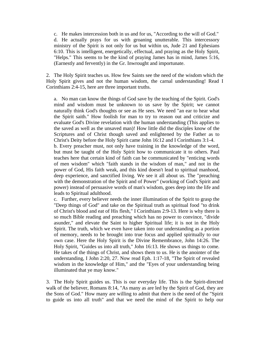c. He makes intercession both in us and for us, "According to the will of God." d. He actually prays for us with groaning unutterable. This intercessory ministry of the Spirit is not only for us but within us, Jude 21 and Ephesians 6:10. This is intelligent, energetically, effectual, and praying as the Holy Spirit, "Helps." This seems to be the kind of praying James has in mind, James 5:16, (Earnestly and fervently) in the Gr. Inwrought and importunate.

2. The Holy Spirit teaches us. How few Saints see the need of the wisdom which the Holy Spirit gives and not the human wisdom, the carnal understanding! Read I Corinthians 2:4-15, here are three important truths.

a. No man can know the things of God save by the teaching of the Spirit. God's mind and wisdom must be unknown to us save by the Spirit; we cannot naturally think God's thoughts or see as He sees. We need "an ear to hear what the Spirit saith." How foolish for man to try to reason out and criticize and evaluate God's Divine revelation with the human understanding (This applies to the saved as well as the unsaved man)! How little did the disciples know of the Scriptures and of Christ though saved and enlightened by the Father as to Christ's Deity before the Holy Spirit came John 16:12 and I Corinthians 3:1-4. b. Every preacher must, not only have training in the knowledge of the word, but must be taught of the Holy Spirit how to communicate it to others. Paul teaches here that certain kind of faith can be communicated by "enticing words of men wisdom" which "faith stands in the wisdom of man," and not in the power of God, His faith weak, and this kind doesn't lead to spiritual manhood, deep experience, and sanctified living. We see it all about us. The "preaching with the demonstration of the Spirit and of Power" (working of God's Spirit and power) instead of persuasive words of man's wisdom, goes deep into the life and leads to Spiritual adulthood.

c. Further, every believer needs the inner illumination of the Spirit to grasp the "Deep things of God" and take on the Spiritual truth as spiritual food "to drink of Christ's blood and eat of His flesh," I Corinthians 2:9-13. Here is why there is so much Bible reading and preaching which has no power to convince, "divide asunder," and elevate the Saint to higher Spiritual life; it is not in the Holy Spirit. The truth, which we even have taken into our understanding as a portion of memory, needs to be brought into true focus and applied spiritually to our own case. Here the Holy Spirit is the Divine Remembrance, John 14:26. The Holy Spirit, "Guides us into all truth," John 16:13. He shows us things to come. He takes of the things of Christ, and shows them to us. He is the anointer of the understanding, I John 2:20, 27. Now read Eph. 1:17-18, "The Spirit of revealed wisdom in the knowledge of Him," and the "Eyes of your understanding being illuminated that ye may know."

3. The Holy Spirit guides us. This is our everyday life. This is the Spirit-directed walk of the believer, Romans 8:14, "As many as are led by the Spirit of God, they are the Sons of God." How many are willing to admit that there is the need of the "Spirit to guide us into all truth" and that we need the mind of the Spirit to help our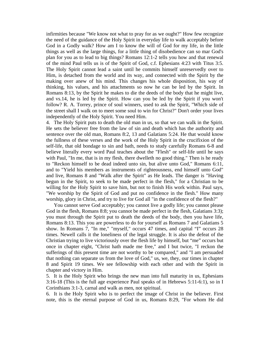infirmities because "We know not what to pray for as we ought?" How few recognize the need of the guidance of the Holy Spirit in everyday life to walk acceptably before God in a Godly walk? How am I to know the will of God for my life, in the little things as well as the large things, for a little thing of disobedience can so mar God's plan for you as to lead to big things? Romans 12:1-2 tells you how and that renewal of the mind Paul tells us is of the Spirit of God, c.f. Ephesians 4:23 with Titus 3:5. The Holy Spirit cannot lead a saint until he commits himself unreservedly over to Him, is detached from the world and its way, and connected with the Spirit by the making over anew of his mind. This changes his whole disposition, his way of thinking, his values, and his attachments so now he can be led by the Spirit. In Romans 8:13, by the Spirit he makes to die the deeds of the body that he might live, and vs.14, he is led by the Spirit. How can you be led by the Spirit if you won't follow? R. A. Torrey, prince of soul winners, used to ask the Spirit, "Which side of the street shall I walk on to meet some soul to win for Christ?" Don't order your lives independently of the Holy Spirit. You need Him.

4. The Holy Spirit puts to death the old man in us, so that we can walk in the Spirit. He sets the believer free from the law of sin and death which has the authority and sentence over the old man, Romans 8:2, 13 and Galatians 5:24. He that would know the fullness of these verses and the work of the Holy Spirit in the crucifixion of the self-life, that old bondage to sin and bath, needs to study carefully Romans 6-8 and believe literally every word Paul teaches about the "Flesh" or self-life until he says with Paul, "In me, that is in my flesh, there dwelleth no good thing." Then is he ready to "Reckon himself to be dead indeed unto sin, but alive unto God," Romans 6:11, and to "Yield his members as instruments of righteousness, end himself unto God" and live, Romans 8 and "Walk after the Spirit" as He leads. The danger is "Having begun in the Spirit, to seek to be made perfect in the flesh," for a Christian to be willing for the Holy Spirit to save him, but not to finish His work within. Paul says, "We worship by the Spirit of God and put no confidence in the flesh." How many worship, glory in Christ, and try to live for God all "in the confidence of the flesh?"

 You cannot serve God acceptably; you cannot live a godly life; you cannot please God in the flesh, Romans 8:8; you cannot be made perfect in the flesh, Galatians 3:3); you must through the Spirit put to death the deeds of the body, then you have life, Romans 8:13. This you are powerless to do for yourself as Romans 7 and Galatians 5 show. In Romans 7, "In me," "myself," occurs 47 times, and capital "I" occurs 28 times. Newell calls it the loneliness of the legal struggle. It is also the defeat of the Christian trying to live victoriously over the flesh life by himself, but "me" occurs but once in chapter eight, "Christ hath made me free," and I but twice, "I reckon the sufferings of this present time are not worthy to be compared," and "I am persuaded that nothing can separate us from the love of God," us, we, they, our times in chapter 8 and Spirit 19 times. We see fellowship with each other and with the Spirit in chapter and victory in Him.

5. It is the Holy Spirit who brings the new man into full maturity in us, Ephesians 3:16-18 (This is the full age experience Paul speaks of in Hebrews 5:11-6:1), so in I Corinthians 3:1-3, carnal and walk as men, not spiritual.

6. It is the Holy Spirit who is to perfect the image of Christ in the believer. First note, this is the eternal purpose of God in us, Romans 8:29, "For whom He did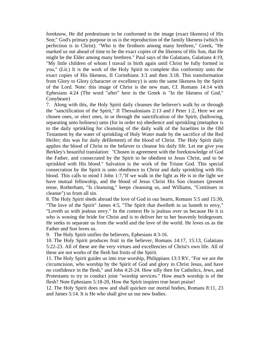foreknow, He did predestinate to be conformed to the image (exact likeness) of His Son;" God's primary purpose in us is the reproduction of the family likeness (which in perfection is in Christ). "Who is the firstborn among many brethren," Greek, "He marked us out ahead of time to be the exact copies of the likeness of His Son, that He might be the Elder among many brethren." Paul says of the Galatians, Galatians 4:19, "My little children of whom I travail in birth again until Christ be fully formed in you," (Lit.) It is the work of the Holy Spirit to complete this conformity unto the exact copies of His likeness, II Corinthians 3:3 and then 3:18. This transformation from Glory to Glory (character or excellency) is unto the same likeness by the Spirit of the Lord. Note: this image of Christ is the new man, Cf. Romans 14:14 with Ephesians 4:24 (The word "after" here in the Greek is "In the likeness of God," Conybeare)

7. Along with this, the Holy Spirit daily cleanses the believer's walk by or through the "sanctification of the Spirit," II Thessalonians 2:13 and I Peter 1:2, Here we are chosen ones, or elect ones, in or through the sanctification of the Spirit, (hallowing, separating unto holiness) unto (for in order to) obedience and sprinkling (metaphor is to the daily sprinkling for cleansing of the daily walk of the Israelites in the Old Testament by the water of sprinkling of Holy Water made by the sacrifice of the Red Heifer; this was for daily defilement) of the blood of Christ. The Holy Spirit daily applies the blood of Christ to the believer to cleanse his daily life. Let me give you Berkley's beautiful translation: "Chosen in agreement with the foreknowledge of God the Father, and consecrated by the Spirit to be obedient to Jesus Christ, and to be sprinkled with His blood." Salvation is the work of the Triune God. This special consecration by the Spirit is unto obedience to Christ and daily sprinkling with His blood. This calls to mind I John 1:7,"If we walk in the light as He is in the light we have mutual fellowship, and the blood of Jesus Christ His Son cleanses (present tense, Rotherham, "Is cleansing," keeps cleansing us, and Williams, "Continues to cleanse") us from all sin.

8. The Holy Spirit sheds abroad the love of God in our hearts, Romans 5:5 and 15:30, "The love of the Spirit" James 4:5, "The Spirit that dwelleth in us lusteth to envy," "Loveth us with jealous envy." In the context He is jealous over us because He it is who is wooing the bride for Christ and is to deliver her to her heavenly bridegroom. He seeks to separate us from the world and the love of the world. He loves us as the Father and Son loves us.

9. The Holy Spirit unifies the believers, Ephesians 4:3-16.

10. The Holy Spirit produces fruit in the believer, Romans 14:17, 15:13, Galatians 5:22-23. All of these are the very virtues and excellencies of Christ's own life. All of these are not works of the flesh but fruits of the Spirit.

11. The Holy Spirit guides us into true worship, Philippians 13:3 RV, "For we are the circumcision, who worship by the Spirit of God and glory in Christ Jesus, and have no confidence in the flesh," and John 4:2l-24. How silly then for Catholics, Jews, and Protestants to try to conduct joint "worship services." How much worship is of the flesh? Note Ephesians 5:18-20, How the Spirit inspires true heart praise!

12. The Holy Spirit does now and shall quicken our mortal bodies, Romans 8:11, 23 and James 5:14. It is He who shall give us our new bodies.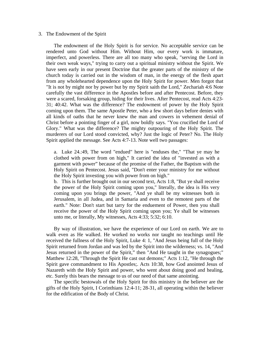# 3. The Endowment of the Spirit

 The endowment of the Holy Spirit is for service. No acceptable service can be rendered unto God without Him. Without Him, our every work is immature, imperfect, and powerless. There are all too many who speak, "serving the Lord in their own weak ways," trying to carry out a spiritual ministry without the Spirit. We have seen early in our present Doctrine that the greater parts of the ministry of the church today is carried out in the wisdom of man, in the energy of the flesh apart from any wholehearted dependence upon the Holy Spirit for power. Men forgot that "It is not by might nor by power but by my Spirit saith the Lord," Zechariah 4:6 Note carefully the vast difference in the Apostles before and after Pentecost. Before, they were a scared, forsaking group, hiding for their lives. After Pentecost, read Acts 4:23- 31; 40:42. What was the difference? The endowment of power by the Holy Spirit coming upon them. The same Apostle Peter, who a few short days before denies with all kinds of oaths that he never knew the man and cowers in vehement denial of Christ before a pointing finger of a girl, now boldly says. "You crucified the Lord of Glory." What was the difference? The mighty outpouring of the Holy Spirit. The murderers of our Lord stood convicted, why? Just the logic of Peter? No. The Holy Spirit applied the message. See Acts 4:7-13. Note well two passages:

a. Luke 24.:49, The word "endued" here is "enduses the," "That ye may he clothed with power from on high," It carried the idea of "invested as with a garment with power" because of the promise of the Father, the Baptism with the Holy Spirit on Pentecost. Jesus said, "Don't enter your ministry for me without the Holy Spirit investing you with power from on high."

b. This is further brought out in our second text, Acts 1:8, "But ye shall receive the power of the Holy Spirit coming upon you," literally, the idea is His very coming upon you brings the power, "And ye shall be my witnesses both in Jerusalem, in all Judea, and in Samaria and even to the remotest parts of the earth." Note: Don't start but tarry for the enduement of Power, then you shall receive the power of the Holy Spirit coming upon you; Ye shall be witnesses unto me, or literally, My witnesses, Acts 4:33; 5:32; 6:10.

 By way of illustration, we have the experience of our Lord on earth. We are to walk even as He walked. He worked no works nor taught no teachings until He received the fullness of the Holy Spirit, Luke 4: 1, "And Jesus being full of the Holy Spirit returned from Jordan and was led by the Spirit into the wilderness; vs. 14, "And Jesus returned in the power of the Spirit," then "And He taught in the synagogues;" Matthew 12:28, "Through the Spirit He cast out demons;" Acts 1:12, "He through the Spirit gave commandment to His Apostles;. Acts 10:38, how God anointed Jesus of Nazareth with the Holy Spirit and power, who went about doing good and healing, etc. Surely this bears the message to us of our need of that same anointing.

 The specific bestowals of the Holy Spirit for this ministry in the believer are the gifts of the Holy Spirit, I Corinthians 12:4-11; 28-31, all operating within the believer for the edification of the Body of Christ.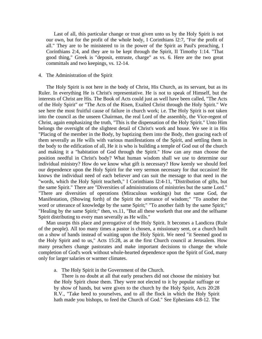Last of all, this particular change or trust given unto us by the Holy Spirit is not our own, but for the profit of the whole body, I Corinthians l2:7, "For the profit of all." They are to be ministered to in the power of the Spirit as Paul's preaching, I Corinthians 2:4, and they are to be kept through the Spirit, II Timothy 1:14. "That good thing," Greek is "deposit, entruste, charge" as vs. 6. Here are the two great committals and two keepings, vs. 12-14.

## 4. The Administration of the Spirit

 The Holy Spirit is not here in the body of Christ, His Church, as its servant, but as its Ruler. In everything He is Christ's representative. He is not to speak of Himself, but the interests of Christ are His. The Book of Acts could just as well have been called, "The Acts of the Holy Spirit" or "The Acts of the Risen, Exalted Christ through the Holy Spirit." We see here the most fruitful cause of failure in church work; i.e. The Holy Spirit is not taken into the council as the unseen Chairman, the real Lord of the assembly, the Vice-regent of Christ, again emphasizing the truth, "This is the dispensation of the Holy Spirit." Unto Him belongs the oversight of the slightest detail of Christ's work and house. We see it in His "Placing of the member in the Body, by baptizing them into the Body, then gracing each of them severally as He wills with various manifestations of the Spirit, and settling them in the body to the edification of all, He it is who is building a temple of God out of the church and making it a "habitation of God through the Spirit." How can any man choose the position needful in Christ's body? What human wisdom shall we use to determine our individual ministry? How do we know what gift is necessary? How keenly we should feel our dependence upon the Holy Spirit for the very sermon necessary for that occasion! He knows the individual need of each believer and can suit the message to that need in the "words, which the Holy Spirit teacheth," I Corinthians l2:4-11, "Distribution of gifts, but the same Spirit." There are "Diversities of administrations of ministries but the same Lord." "There are diversities of operations (Miraculous workings) but the same God, the Manifestation, (Showing forth) of the Spirit the utterance of wisdom;" "To another the word or utterance of knowledge by the same Spirit;" "To another faith by the same Spirit;" "Healing by the same Spirit;" then, vs.11, "But all these worketh that one and the selfsame Spirit distributing to every man severally as He wills."

 Man usurps this place and prerogative of the Holy Spirit. It becomes a Laodicea (Rule of the people). All too many times a pastor is chosen, a missionary sent, or a church built on a show of hands instead of waiting upon the Holy Spirit. We need "it Seemed good to the Holy Spirit and to us," Acts 15:28, as at the first Church council at Jerusalem. How many preachers change pastorates and make important decisions to change the whole completion of God's work without whole-hearted dependence upon the Spirit of God, many only for larger salaries or warmer climates.

a. The Holy Spirit in the Government of the Church.

 There is no doubt at all that early preachers did not choose the ministry but the Holy Spirit chose them. They were not elected to it by popular suffrage or by show of hands, but were given to the church by the Holy Spirit, Acts 20:28 R.V., "Take heed to yourselves, and to all the flock in which the Holy Spirit hath made you bishops, to feed the Church of God." See Ephesians 4:8-12. The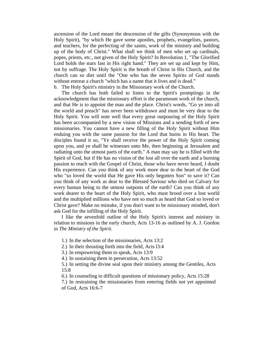ascension of the Lord meant the descension of the gifts (Synonymous with the Holy Spirit), "by which He gave some apostles, prophets, evangelists, pastors, and teachers, for the perfecting of the saints, work of the ministry and building up of the body of Christ." What shall we think of men who set up cardinals, popes, priests, etc., not given of the Holy Spirit? In Revolution 1, "The Glorified Lord holds the stars fast in His right hand." They are set up and kept by Him, not by suffrage. The Holy Spirit is the breath of Christ in His Church, and the church can so diet until the "One who has the seven Spirits of God stands without entreat a church "which has a name that it lives and is dead."

b. The Holy Spirit's ministry in the Missionary work of the Church.

 The church has both failed to listen to the Spirit's promptings in the acknowledgment that the missionary effort is the paramount work of the church, and that He is to appoint the man and the place. Christ's words, "Go ye into all the world and preach" has never been withdrawn and must be very dear to the Holy Spirit. You will note well that every great outpouring of the Holy Spirit has been accompanied by a new vision of Missions and a sending forth of new missionaries. You cannot have a new filling of the Holy Spirit without Him enduing you with the same passion for the Lord that burns in His heart. The disciples found it so, "Ye shall receive the power of the Holy Spirit coming upon you, and ye shall be witnesses unto Me, then beginning at Jerusalem and radiating unto the utmost parts of the earth." A man may say he is filled with the Spirit of God, but if He has no vision of the lost all over the earth and a burning passion to reach with the Gospel of Christ, those who have never heard, I doubt His experience. Can you think of any work more dear to the heart of the God who "so loved the world that He gave His only begotten Son" to save it? Can you think of any work as dear to the Blessed Saviour who died on Calvary for every human being to the utmost outposts of the earth? Can you think of any work dearer to the heart of the Holy Spirit, who must brood over a lost world and the multiplied millions who have not so much as heard that God so loved or Christ gave? Make no mistake, if you don't want to be missionary minded, don't ask God for the infilling of the Holy Spirit.

 I like the sevenfold outline of the Holy Spirit's interest and ministry in relation to missions in the early church, Acts 13-16 as outlined by A. J. Gordon in *The Ministry of the Spirit*.

1.) In the selection of the missionaries, Acts 13:2

2.) In their thrusting forth into the field, Acts l3:4

3.) In empowering them to speak, Acts 13:9

4.) In sustaining them in persecution, Acts 13:52

5.) In setting the divine seal upon their ministry among the Gentiles, Acts 15:8

6.) In counseling in difficult questions of missionary policy, Acts 15:28

7.) In restraining the missionaries from entering fields not yet appointed of God, Acts 16:6-7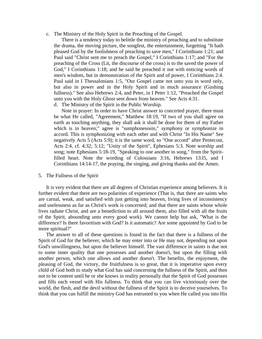c. The Ministry of the Holy Spirit in the Preaching of the Gospel.

 There is a tendency today to belittle the ministry of preaching and to substitute the drama, the moving picture, the songfest, the entertainment, forgetting "It hath pleased God by the foolishness of preaching to save men," I Corinthians 1:21; and Paul said "Christ sent me to preach the Gospel," I Corinthians 1:17; and "For the preaching of the Cross (Lit, the discourse of the cross) is to the saved the power of God," I Corinthians 1:18; and he said he preached it not with enticing words of men's wisdom, but in demonstration of the Spirit and of power, I Corinthians 2:4. Paul said in I Thessalonians 1:5, "Our Gospel came not unto you in word only, but also in power and in the Holy Spirit and in much assurance (Gushing fullness)." See also Hebrews 2:4, and Peter, in I Peter 1:12, "Preached the Gospel unto you with the Holy Ghost sent down from heaven." See Acts 4:31.

d. The Ministry of the Spirit in the Public Worship.

 Note in prayer: In order to have Christ answer to concerted prayer, there must be what He called, "Agreement," Matthew 18:19, "If two of you shall agree on earth as touching anything, they shall ask it shall be done for them of my Father which is in heaven;" agree is "sumphonesosin," symphony or symphonize in accord. This is symphonizing with each other and with Christ "In His Name" See negatively Acts 5 (Acts 5:9); it is the same word, so "One accord" after Pentecost, Acts 2:4, cf. 4:32; 5:12; "Unity of the Spirit", Ephesians 5:3. Note worship and song; note Ephesians 5:18-19, "Speaking to one another in song," from the Spiritfilled heart. Note the wording of Colossians 3:16, Hebrews 13:l5, and I Corinthians 14:14-17, the praying, the singing, and giving thanks and the Amen.

# 5. The Fullness of the Spirit

 It is very evident that there are all degrees of Christian experience among believers. It is further evident that there are two polarities of experience (That is, that there are saints who are carnal, weak, and satisfied with just getting into heaven, living lives of inconsistency and uselessness as far as Christ's work is concerned; and that there are saints whose whole lives radiate Christ, and are a benediction to all around them, also filled with all the fruits of the Spirit, abounding unto every good work). We cannot help but ask, "What is the difference? Is there favoritism with God? Is it automatic? Are some appointed by God to be more spiritual?"

 The answer to all of these questions is found in the fact that there is a fullness of the Spirit of God for the believer, which he may enter into or He may not, depending not upon God's unwillingness, but upon the believer himself. The vast difference in saints is due not to some inner quality that one possesses and another doesn't, but upon the filling with another person, which one allows and another doesn't. The benefits, the enjoyment, the pleasing of God, the victory, the fruitfulness is so great, that it is imperative upon every child of God both to study what God has said concerning the fullness of the Spirit, and then not to be content until he or she knows in reality personally that the Spirit of God possesses and fills each vessel with His fullness. To think that you can live victoriously over the world, the flesh, and the devil without the fullness of the Spirit is to deceive yourselves. To think that you can fulfill the ministry God has entrusted to you when He called you into His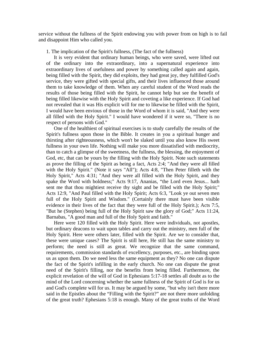service without the fullness of the Spirit endowing you with power from on high is to fail and disappoint Him who called you.

1. The implication of the Spirit's fullness, (The fact of the fullness)

 It is very evident that ordinary human beings, who were saved, were lifted out of the ordinary into the extraordinary, into a supernatural experience into extraordinary lives of usefulness and power by something called again and again, being filled with the Spirit, they did exploits, they had great joy, they fulfilled God's service, they were gifted with special gifts, and their lives influenced those around them to take knowledge of them. When any careful student of the Word reads the results of those being filled with the Spirit, he cannot help but see the benefit of being filled likewise with the Holy Spirit and coveting a like experience. If God had not revealed that it was His explicit will for me to likewise be filled with the Spirit, I would have been envious of those in the Word of whom it is said, "And they were all filled with the Holy Spirit." I would have wondered if it were so, "There is no respect of persons with God."

 One of the healthiest of spiritual exercises is to study carefully the results of the Spirit's fullness upon those in the Bible. It creates in you a spiritual hunger and thirsting after righteousness, which won't be slaked until you also know His sweet fullness in your own life. Nothing will make you more dissatisfied with mediocrity, than to catch a glimpse of the sweetness, the fullness, the blessing, the enjoyment of God, etc, that can be yours by the filling with the Holy Spirit. Note such statements as prove the filling of the Spirit as being a fact, Acts 2:4; "And they were all filled with the Holy Spirit." (Note it says "All"); Acts 4:8, "Then Peter filleth with the Holy Spirit," Acts 4:31; "And they were all filled with the Holy Spirit, and they spake the Word with boldness;" Acts 9:17, Ananias, "the Lord even Jesus... hath sent me that thou mightiest receive thy sight and be filled with the Holy Spirit;" Acts 12:9, "And Paul filled with the Holy Spirit; Acts 6:3, "Look ye out seven men full of the Holy Spirit and Wisdom." (Certainly there must have been visible evidence in their lives of the fact that they were full of the Holy Spirit.); Acts 7:5, "But he (Stephen) being full of the Holy Spirit saw the glory of God;" Acts 11:24, Barnabas, "A good man and full of the Holy Spirit and faith."

 Here were 120 filled with the Holy Spirit. Here were individuals, not apostles, but ordinary deacons to wait upon tables and carry out the ministry, men full of the Holy Spirit. Here were others later, filled with the Spirit. Are we to consider that, these were unique cases? The Spirit is still here, He still has the same ministry to perform; the need is still as great. We recognize that the same command, requirements, commission standards of excellency, purposes, etc., are binding upon us as upon them. Do we need less the same equipment as they? No one can dispute the fact of the Spirit's infilling in the early church. No one can dispute the great need of the Spirit's filling, nor the benefits from being filled. Furthermore, the explicit revelation of the will of God in Ephesians 5:17-18 settles all doubt as to the mind of the Lord concerning whether the same fullness of the Spirit of God is for us and God's complete will for us. It may be argued by some, "but why isn't there more said in the Epistles about the "Filling with the Spirit?" are not there more unfolding of the great truth? Ephesians 5:18 is enough. Many of the great truths of the Word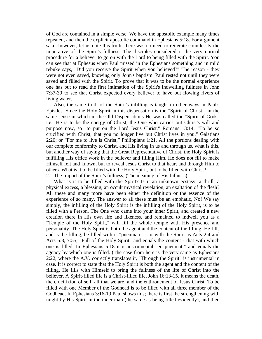of God are contained in a simple verse. We have the apostolic example many times repeated, and then the explicit apostolic command in Ephesians 5:18. For argument sake, however, let us note this truth; there was no need to reiterate countlessly the imperative of the Spirit's fullness. The disciples considered it the very normal procedure for a believer to go on with the Lord to being filled with the Spirit. You can see that at Ephesus when Paul missed in the Ephesians something and in mild rebuke says, "Did you receive the Spirit when you believed?" The reason - they were not even saved, knowing only John's baptism. Paul rested not until they were saved and filled with the Spirit. To prove that it was to be the normal experience one has but to read the first intimation of the Spirit's indwelling fullness in John 7:37-39 to see that Christ expected every believer to have out flowing rivers of living water.

 Also, the same truth of the Spirit's infilling is taught in other ways in Paul's Epistles. Since the Holy Spirit in this dispensation is the "Spirit of Christ," in the same sense in which in the Old Dispensations He was called the "Spirit of Gods" i.e., He is to be the energy of Christ, the One who carries out Christ's will and purpose now, so "to put on the Lord Jesus Christ," Romans 13:14; "To be so crucified with Christ, that you no longer live but Christ lives in you," Galatians 2:20; or "For me to live is Christ," Philippians 1:21. All the portions dealing with our complete conformity to Christ, and His living in us and through us, what is this, but another way of saying that the Great Representative of Christ, the Holy Spirit is fulfilling His office work in the believer and filling Him. He does not fill to make Himself felt and known, but to reveal Jesus Christ to that heart and through Him to others. What is it to be filled with the Holy Spirit, but to be filled with Christ? 2. The Import of the Spirit's fullness, (The meaning of His fullness)

 What is it to be filled with the Spirit? Is it an unknown ecstasy, a thrill, a physical excess, a blessing, an occult mystical revelation, an exaltation of the flesh? All these and many more have been either the definition or the essence of the experience of so many. The answer to all these must be an emphatic, No! We say simply, the infilling of the Holy Spirit is the infilling of the Holy Spirit, is to be filled with a Person. The One who came into your inner Spirit, and created a new creation there in His own life and likeness, and remained to indwell you as a "Temple of the Holy Spirit," will fill the whole temple with His presence and personality. The Holy Spirit is both the agent and the content of the filling. He fills and is the filling, be filled with is "pneumatos - or with the Spirit as Acts 2:4 and Acts 6:3, 7:55, "Full of the Holy Spirit" and equals the content - that with which one is filled. In Ephesians 5:18 it is instrumental "en pneumati" and equals the agency by which one is filled. (The case from here is the very same as Ephesians 2:22, where the A.V. correctly translates it, "Through the Spirit" is instrumental in case. It is correct to state that the Holy Spirit is both the agent and the content of the filling. He fills with Himself to bring the fullness of the life of Christ into the believer. A Spirit-filled life is a Christ-filled life, John 16:13-15. It means the death, the crucifixion of self, all that we are, and the enthronement of Jesus Christ. To be filled with one Member of the Godhead is to be filled with all three member of the Godhead. In Ephesians 3:16-19 Paul shows this; there is first the strengthening with might by His Spirit in the inner man (the same as being filled evidently), and then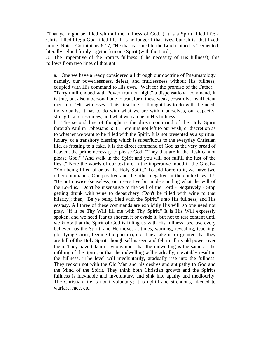"That ye might be filled with all the fullness of God.") It is a Spirit filled life; a Christ-filled life; a God-filled life. It is no longer I that lives, but Christ that liveth in me. Note I Corinthians 6:17, "He that is joined to the Lord (joined is "cemented; literally "glued firmly together) in one Spirit (with the Lord.)

3. The Imperative of the Spirit's fullness. (The necessity of His fullness); this follows from two lines of thought:

a. One we have already considered all through our doctrine of Pneumatology namely, our powerlessness, defeat, and fruitlessness without His fullness, coupled with His command to His own, "Wait for the promise of the Father," "Tarry until endued with Power from on high;" a dispensational command, it is true, but also a personal one to transform these weak, cowardly, insufficient men into "His witnesses." This first line of thought has to do with the need, individually. It has to do with what we are within ourselves, our capacity, strength, and resources, and what we can be in His fullness.

b. The second line of thought is the direct command of the Holy Spirit through Paul in Ephesians 5:18. Here it is not left to our wish, or discretion as to whether we want to be filled with the Spirit. It is not presented as a spiritual luxury, or a transitory blessing which is superfluous to the everyday Christian life, as frosting to a cake. It is the direct command of God as the very bread of heaven, the prime necessity to please God, "They that are in the flesh cannot please God," "And walk in the Spirit and you will not fulfill the lust of the flesh." Note the words of our text are in the imperative mood in the Greek-- "You being filled of or by the Holy Spirit." To add force to it, we have two other commands, One positive and the other negative in the context, vs. 17, "Be not unwise (senseless) or insensitive but understanding what the will of the Lord is." Don't be insensitive to the will of the Lord - Negatively - Stop getting drunk with wine to debauchery (Don't be filled with wine to that hilarity); then, "Be ye being filed with the Spirit," unto His fullness, and His ecstasy. All three of these commands are explicitly His will, so one need not pray, "If it be Thy Will fill me with Thy Spirit." It is His Will expressly spoken, and we need fear to shorten it or evade it; but not to rest content until we know that the Spirit of God is filling us with His fullness, because every believer has the Spirit, and He moves at times, warning, revealing, teaching, glorifying Christ, feeding the pneuma, etc. They take it for granted that they are full of the Holy Spirit, though self is seen and felt in all its old power over them. They have taken it synonymous that the indwelling is the same as the infilling of the Spirit, or that the indwelling will gradually, inevitably result in the fullness. "The level will involuntarily, gradually rise into the fullness. They reckon not with the Old Man and his desires and antipathy to God and the Mind of the Spirit. They think both Christian growth and the Spirit's fullness is inevitable and involuntary, and sink into apathy and mediocrity. The Christian life is not involuntary; it is uphill and strenuous, likened to warfare, race, etc.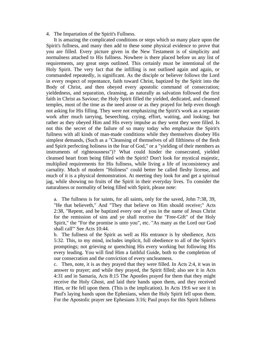4. The Impartation of the Spirit's Fullness.

 It is amazing the complicated conditions or steps which so many place upon the Spirit's fullness, and many then add to these some physical evidence to prove that you are filled. Every picture given in the New Testament is of simplicity and normalness attached to His fullness. Nowhere is there placed before us any list of requirements, any great steps outlined. This certainly must be intentional of the Holy Spirit. The very fact that the infilling is not outlined again and again, or commanded repeatedly, is significant. As the disciple or believer follows the Lord in every respect of repentance, faith toward Christ, baptized by the Spirit into the Body of Christ, and then obeyed every apostolic command of consecration; yieldedness, and separation, cleansing, as naturally as salvation followed the first faith in Christ as Saviour; the Holy Spirit filled the yielded, dedicated, and cleansed temples, most of the time as the need arose or as they prayed for help even though not asking for His filling. They were not emphasizing the Spirit's work as a separate work after much tarrying, beseeching, crying, effort, waiting, and looking; but rather as they obeyed Him and His every impulse as they went they were filled. Is not this the secret of the failure of so many today who emphasize the Spirit's fullness with all kinds of man-made conditions while they themselves disobey His simplest demands, (Such as a "Cleansing of themselves of all filthiness of the flesh and Spirit perfecting holiness in the fear of God," or a "yielding of their members as instruments of righteousness")? What could hinder the consecrated, yielded cleansed heart from being filled with the Spirit? Don't look for mystical majestic, multiplied requirements for His fullness, while living a life of inconsistency and carnality. Much of modern "Holiness" could better be called fleshy license, and much of it is a physical demonstration. At meeting they look for and get a spiritual jag, while showing no fruits of the Spirit in their everyday lives. To consider the naturalness or normality of being filled with Spirit, please note:

a. The fullness is for saints, for all saints, only for the saved, John 7:38, 39, "He that believeth," And "They that believe on Him should receive;" Acts 2:38, "Repent, and be baptized every one of you in the name of Jesus Christ for the remission of sins and ye shall receive the "Free-Gift" of the Holy Spirit," the "For the promise is unto you", etc. "As many as the Lord our God shall call'" See Acts 10:44.

b. The fullness of the Spirit as well as His entrance is by obedience, Acts 5:32. This, to my mind, includes implicit, full obedience to all of the Spirit's promptings; not grieving or quenching His every working but following His every leading. You will find Him a faithful Guide, both to the completion of our consecration and the conviction of every uncleanness.

c. Then, note, it is as they prayed that they were filled. In Acts 2:4, it was in answer to prayer; and while they prayed, the Spirit filled; also see it in Acts 4:31 and in Samaria, Acts 8:15 The Apostles prayed for them that they might receive the Holy Ghost, and laid their hands upon them, and they received Him, or He fell upon them. (This is the implication). In Acts 19:6 we see it in Paul's laying hands upon the Ephesians, when the Holy Spirit fell upon them. For the Apostolic prayer see Ephesians 3:16; Paul prays for this Spirit fullness